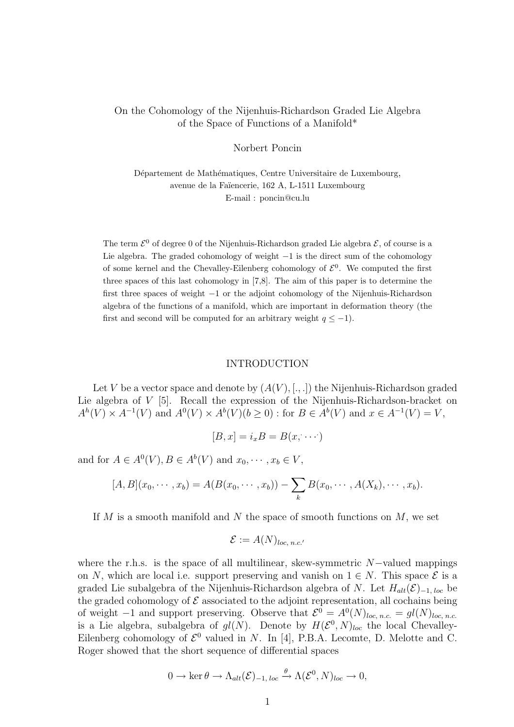# On the Cohomology of the Nijenhuis-Richardson Graded Lie Algebra of the Space of Functions of a Manifold\*

## Norbert Poncin

Département de Mathématiques, Centre Universitaire de Luxembourg, avenue de la Faïencerie, 162 A, L-1511 Luxembourg E-mail : poncin@cu.lu

The term  $\mathcal{E}^0$  of degree 0 of the Nijenhuis-Richardson graded Lie algebra  $\mathcal{E}$ , of course is a Lie algebra. The graded cohomology of weight −1 is the direct sum of the cohomology of some kernel and the Chevalley-Eilenberg cohomology of  $\mathcal{E}^0$ . We computed the first three spaces of this last cohomology in [7,8]. The aim of this paper is to determine the first three spaces of weight −1 or the adjoint cohomology of the Nijenhuis-Richardson algebra of the functions of a manifold, which are important in deformation theory (the first and second will be computed for an arbitrary weight  $q \leq -1$ ).

#### INTRODUCTION

Let V be a vector space and denote by  $(A(V), [., .])$  the Nijenhuis-Richardson graded Lie algebra of V [5]. Recall the expression of the Nijenhuis-Richardson-bracket on  $A^{h}(V) \times A^{-1}(V)$  and  $A^{0}(V) \times A^{h}(V)$  ( $b \ge 0$ ) : for  $B \in A^{h}(V)$  and  $x \in A^{-1}(V) = V$ ,

$$
[B, x] = i_x B = B(x, \cdots)
$$

and for  $A \in A^0(V)$ ,  $B \in A^b(V)$  and  $x_0, \dots, x_b \in V$ ,

$$
[A, B](x_0, \cdots, x_b) = A(B(x_0, \cdots, x_b)) - \sum_k B(x_0, \cdots, A(X_k), \cdots, x_b).
$$

If  $M$  is a smooth manifold and  $N$  the space of smooth functions on  $M$ , we set

$$
\mathcal{E} := A(N)_{loc, n.c.}
$$

where the r.h.s. is the space of all multilinear, skew-symmetric  $N$ -valued mappings on N, which are local i.e. support preserving and vanish on  $1 \in N$ . This space  $\mathcal{E}$  is a graded Lie subalgebra of the Nijenhuis-Richardson algebra of N. Let  $H_{alt}(\mathcal{E})_{-1, loc}$  be the graded cohomology of  $\mathcal E$  associated to the adjoint representation, all cochains being of weight  $-1$  and support preserving. Observe that  $\mathcal{E}^0 = A^0(N)_{loc, n.c.} = gl(N)_{loc, n.c.}$ is a Lie algebra, subalgebra of  $gl(N)$ . Denote by  $H(\mathcal{E}^0, N)_{loc}$  the local Chevalley-Eilenberg cohomology of  $\mathcal{E}^0$  valued in N. In [4], P.B.A. Lecomte, D. Melotte and C. Roger showed that the short sequence of differential spaces

$$
0 \to \ker \theta \to \Lambda_{alt}(\mathcal{E})_{-1, loc} \xrightarrow{\theta} \Lambda(\mathcal{E}^0, N)_{loc} \to 0,
$$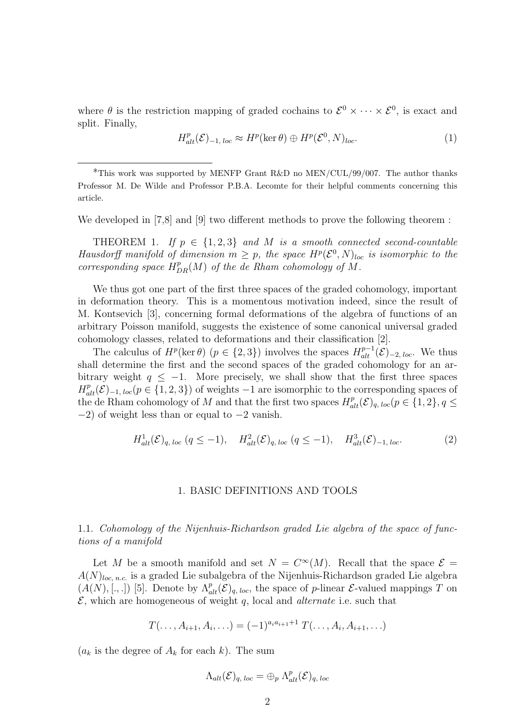where  $\theta$  is the restriction mapping of graded cochains to  $\mathcal{E}^0 \times \cdots \times \mathcal{E}^0$ , is exact and split. Finally,

$$
H_{alt}^p(\mathcal{E})_{-1, loc} \approx H^p(\ker \theta) \oplus H^p(\mathcal{E}^0, N)_{loc}.
$$
 (1)

We developed in [7,8] and [9] two different methods to prove the following theorem :

THEOREM 1. If  $p \in \{1,2,3\}$  and M is a smooth connected second-countable Hausdorff manifold of dimension  $m \geq p$ , the space  $H^p(\mathcal{E}^0, N)_{loc}$  is isomorphic to the corresponding space  $H^p_{DR}(M)$  of the de Rham cohomology of M.

We thus got one part of the first three spaces of the graded cohomology, important in deformation theory. This is a momentous motivation indeed, since the result of M. Kontsevich [3], concerning formal deformations of the algebra of functions of an arbitrary Poisson manifold, suggests the existence of some canonical universal graded cohomology classes, related to deformations and their classification [2].

The calculus of  $H^p(\ker \theta)$   $(p \in \{2,3\})$  involves the spaces  $H^{p-1}_{alt}(\mathcal{E})_{-2, loc}$ . We thus shall determine the first and the second spaces of the graded cohomology for an arbitrary weight  $q \leq -1$ . More precisely, we shall show that the first three spaces  $H_{alt}^p(\mathcal{E})_{-1, loc}(p \in \{1, 2, 3\})$  of weights  $-1$  are isomorphic to the corresponding spaces of the de Rham cohomology of M and that the first two spaces  $H^p_{alt}(\mathcal{E})_{q, loc}(p \in \{1,2\}, q \leq$ −2) of weight less than or equal to −2 vanish.

$$
H_{alt}^1(\mathcal{E})_{q,\,loc} \ (q \le -1), \quad H_{alt}^2(\mathcal{E})_{q,\,loc} \ (q \le -1), \quad H_{alt}^3(\mathcal{E})_{-1,\,loc}.\tag{2}
$$

## 1. BASIC DEFINITIONS AND TOOLS

1.1. Cohomology of the Nijenhuis-Richardson graded Lie algebra of the space of functions of a manifold

Let M be a smooth manifold and set  $N = C^{\infty}(M)$ . Recall that the space  $\mathcal{E} =$  $A(N)_{loc, n.c.}$  is a graded Lie subalgebra of the Nijenhuis-Richardson graded Lie algebra  $(A(N), [., .])$  [5]. Denote by  $\Lambda^p_{alt}(\mathcal{E})_{q, loc}$ , the space of p-linear  $\mathcal{E}$ -valued mappings T on  $\mathcal{E}$ , which are homogeneous of weight q, local and *alternate* i.e. such that

$$
T(\ldots, A_{i+1}, A_i, \ldots) = (-1)^{a_i a_{i+1}+1} T(\ldots, A_i, A_{i+1}, \ldots)
$$

 $(a_k)$  is the degree of  $A_k$  for each k). The sum

$$
\Lambda_{alt}(\mathcal{E})_{q, loc} = \bigoplus_{p} \Lambda_{alt}^{p}(\mathcal{E})_{q, loc}
$$

<sup>\*</sup>This work was supported by MENFP Grant R&D no MEN/CUL/99/007. The author thanks Professor M. De Wilde and Professor P.B.A. Lecomte for their helpful comments concerning this article.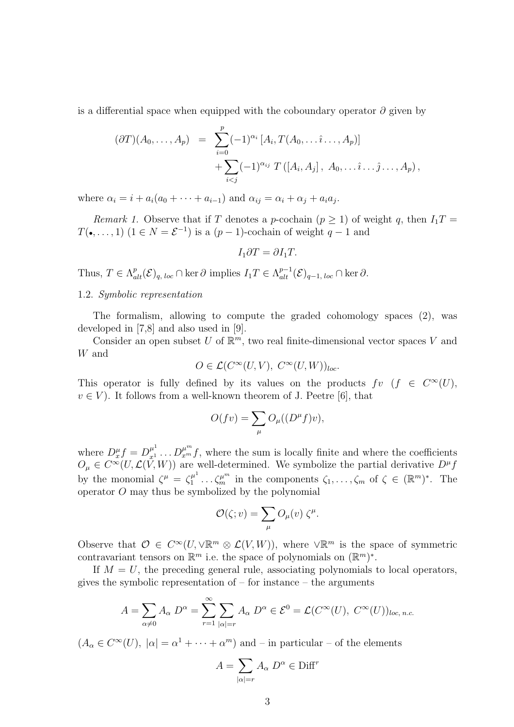is a differential space when equipped with the coboundary operator  $\partial$  given by

$$
(\partial T)(A_0, ..., A_p) = \sum_{i=0}^p (-1)^{\alpha_i} [A_i, T(A_0, ..., \hat{i} ..., A_p)] + \sum_{i < j} (-1)^{\alpha_{ij}} T([A_i, A_j], A_0, ..., \hat{i} ..., A_p),
$$

where  $\alpha_i = i + a_i(a_0 + \cdots + a_{i-1})$  and  $\alpha_{ij} = \alpha_i + \alpha_j + a_i a_j$ .

*Remark 1.* Observe that if T denotes a p-cochain  $(p \ge 1)$  of weight q, then  $I_1T =$  $T(\bullet, \ldots, 1)$   $(1 \in N = \mathcal{E}^{-1})$  is a  $(p-1)$ -cochain of weight  $q-1$  and

$$
I_1 \partial T = \partial I_1 T.
$$

Thus,  $T \in \Lambda_{alt}^p(\mathcal{E})_{q, loc} \cap \text{ker } \partial \text{ implies } I_1 T \in \Lambda_{alt}^{p-1}(\mathcal{E})_{q-1, loc} \cap \text{ker } \partial.$ 

## 1.2. Symbolic representation

The formalism, allowing to compute the graded cohomology spaces (2), was developed in [7,8] and also used in [9].

Consider an open subset U of  $\mathbb{R}^m$ , two real finite-dimensional vector spaces V and W and

$$
O \in \mathcal{L}(C^{\infty}(U,V), C^{\infty}(U,W))_{loc}.
$$

This operator is fully defined by its values on the products  $fv$   $(f \in C^{\infty}(U))$ ,  $v \in V$ ). It follows from a well-known theorem of J. Peetre [6], that

$$
O(fv) = \sum_{\mu} O_{\mu}((D^{\mu}f)v),
$$

where  $D_x^{\mu} f = D_{x_1}^{\mu^1} \dots D_{x_m}^{\mu^m} f$ , where the sum is locally finite and where the coefficients  $O_{\mu} \in C^{\infty}(U, \mathcal{L}(\bar{V}, W))$  are well-determined. We symbolize the partial derivative  $D^{\mu} f$ by the monomial  $\zeta^{\mu} = \zeta_1^{\mu}$  $\zeta_1^{\mu^1} \dots \zeta_m^{\mu^m}$  in the components  $\zeta_1, \dots, \zeta_m$  of  $\zeta \in (\mathbb{R}^m)^*$ . The operator O may thus be symbolized by the polynomial

$$
\mathcal{O}(\zeta; v) = \sum_{\mu} O_{\mu}(v) \zeta^{\mu}.
$$

Observe that  $\mathcal{O} \in C^{\infty}(U, \forall \mathbb{R}^m \otimes \mathcal{L}(V, W))$ , where  $\forall \mathbb{R}^m$  is the space of symmetric contravariant tensors on  $\mathbb{R}^m$  i.e. the space of polynomials on  $(\mathbb{R}^m)^*$ .

If  $M = U$ , the preceding general rule, associating polynomials to local operators, gives the symbolic representation of  $-$  for instance  $-$  the arguments

$$
A = \sum_{\alpha \neq 0} A_{\alpha} D^{\alpha} = \sum_{r=1}^{\infty} \sum_{|\alpha| = r} A_{\alpha} D^{\alpha} \in \mathcal{E}^{0} = \mathcal{L}(C^{\infty}(U), C^{\infty}(U))_{loc, n.c.}
$$

 $(A_{\alpha} \in C^{\infty}(U), |\alpha| = \alpha^{1} + \cdots + \alpha^{m})$  and – in particular – of the elements

$$
A = \sum_{|\alpha|=r} A_{\alpha} D^{\alpha} \in \text{Diff}^{r}
$$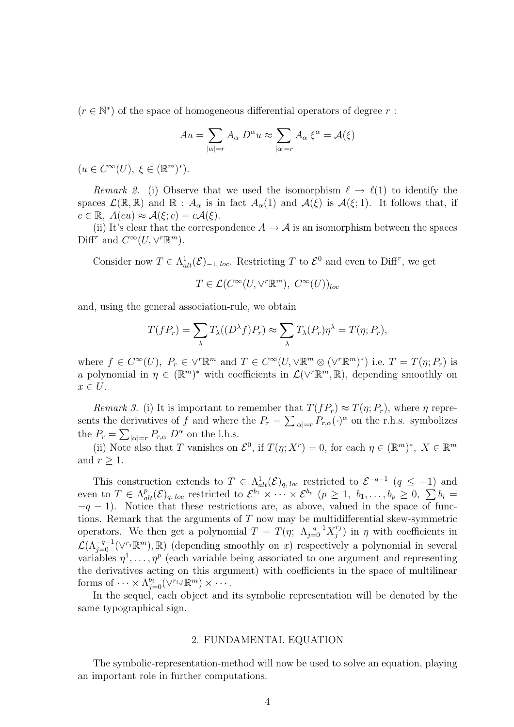$(r \in \mathbb{N}^*)$  of the space of homogeneous differential operators of degree r:

$$
Au = \sum_{|\alpha|=r} A_{\alpha} D^{\alpha} u \approx \sum_{|\alpha|=r} A_{\alpha} \xi^{\alpha} = \mathcal{A}(\xi)
$$

 $(u \in C^{\infty}(U), \xi \in (\mathbb{R}^m)^*).$ 

Remark 2. (i) Observe that we used the isomorphism  $\ell \to \ell(1)$  to identify the spaces  $\mathcal{L}(\mathbb{R},\mathbb{R})$  and  $\mathbb{R}: A_{\alpha}$  is in fact  $A_{\alpha}(1)$  and  $\mathcal{A}(\xi)$  is  $\mathcal{A}(\xi;1)$ . It follows that, if  $c \in \mathbb{R}, A(cu) \approx \mathcal{A}(\xi; c) = c\mathcal{A}(\xi).$ 

(ii) It's clear that the correspondence  $A \rightarrow \mathcal{A}$  is an isomorphism between the spaces Diff<sup>r</sup> and  $C^{\infty}(U, \vee^r \mathbb{R}^m)$ .

Consider now  $T \in \Lambda^1_{alt}(\mathcal{E})_{-1, loc}$ . Restricting T to  $\mathcal{E}^0$  and even to Diff<sup>r</sup>, we get

$$
T \in \mathcal{L}(C^{\infty}(U, \vee^r \mathbb{R}^m), C^{\infty}(U))_{loc}
$$

and, using the general association-rule, we obtain

$$
T(fP_r) = \sum_{\lambda} T_{\lambda}((D^{\lambda}f)P_r) \approx \sum_{\lambda} T_{\lambda}(P_r)\eta^{\lambda} = T(\eta; P_r),
$$

where  $f \in C^{\infty}(U)$ ,  $P_r \in V^r\mathbb{R}^m$  and  $T \in C^{\infty}(U, \forall \mathbb{R}^m \otimes (\forall^r \mathbb{R}^m)^*)$  i.e.  $T = T(\eta; P_r)$  is a polynomial in  $\eta \in (\mathbb{R}^m)^*$  with coefficients in  $\mathcal{L}(\forall^r \mathbb{R}^m, \mathbb{R})$ , depending smoothly on  $x \in U$ .

Remark 3. (i) It is important to remember that  $T(fP_r) \approx T(\eta; P_r)$ , where  $\eta$  represents the derivatives of f and where the  $P_r = \sum_{|\alpha|=r} P_{r,\alpha}(\cdot)^{\alpha}$  on the r.h.s. symbolizes the  $P_r = \sum_{|\alpha|=r} P_{r,\alpha} D^{\alpha}$  on the l.h.s.

(ii) Note also that T vanishes on  $\mathcal{E}^0$ , if  $T(\eta; X^r) = 0$ , for each  $\eta \in (\mathbb{R}^m)^*$ ,  $X \in \mathbb{R}^m$ and  $r \geq 1$ .

This construction extends to  $T \in \Lambda_{alt}^1(\mathcal{E})_{q, loc}$  restricted to  $\mathcal{E}^{-q-1}$   $(q \leq -1)$  and This construction extends to  $I \in \Lambda_{alt}^{h}(\mathcal{C})_{q, loc}$  restricted to  $\mathcal{C}^{h} \times \cdots \times \mathcal{C}^{b_p}$   $(p \geq 1, b_1, \ldots, b_p \geq 0, \sum b_i =$ <br>even to  $T \in \Lambda_{alt}^{p}(\mathcal{E})_{q, loc}$  restricted to  $\mathcal{E}^{b_1} \times \cdots \times \mathcal{E}^{b_p}$   $(p \geq 1, b_1, \ldots$  $-q-1$ ). Notice that these restrictions are, as above, valued in the space of functions. Remark that the arguments of  $T$  now may be multidifferential skew-symmetric operators. We then get a polynomial  $T = T(\eta; \Lambda_{j=0}^{-q-1} X_j^{r_j})$  $j^{r_j}$ ) in  $\eta$  with coefficients in  $\mathcal{L}(\Lambda_{j=0}^{-q-1}(\vee^{r_j}\mathbb{R}^m),\mathbb{R})$  (depending smoothly on x) respectively a polynomial in several variables  $\eta^1, \ldots, \eta^p$  (each variable being associated to one argument and representing the derivatives acting on this argument) with coefficients in the space of multilinear forms of  $\cdots \times \Lambda^{b_i}_{j=0}(\vee^{r_{i,j}} \mathbb{R}^m) \times \cdots$ .

In the sequel, each object and its symbolic representation will be denoted by the same typographical sign.

## 2. FUNDAMENTAL EQUATION

The symbolic-representation-method will now be used to solve an equation, playing an important role in further computations.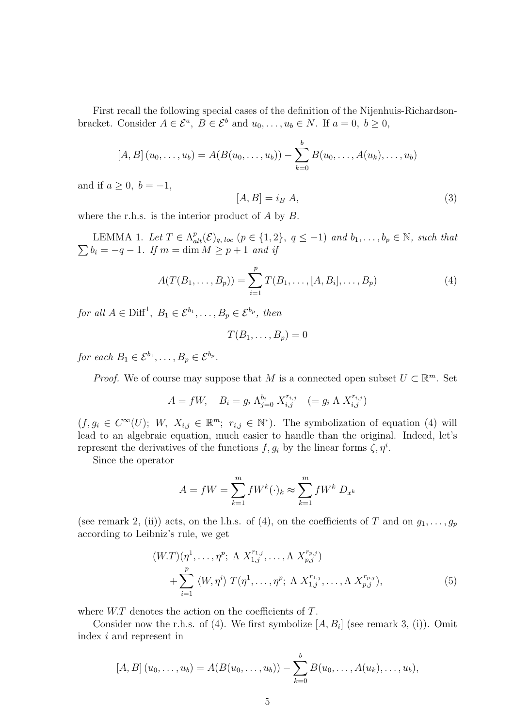First recall the following special cases of the definition of the Nijenhuis-Richardsonbracket. Consider  $A \in \mathcal{E}^a$ ,  $B \in \mathcal{E}^b$  and  $u_0, \ldots, u_b \in N$ . If  $a = 0, b \ge 0$ ,

$$
[A, B] (u_0, \ldots, u_b) = A(B(u_0, \ldots, u_b)) - \sum_{k=0}^b B(u_0, \ldots, A(u_k), \ldots, u_b)
$$

and if  $a \geq 0$ ,  $b = -1$ ,

$$
[A,B] = i_B A,\t\t(3)
$$

where the r.h.s. is the interior product of  $A$  by  $B$ .

LEMMA 1. Let  $T \in \Lambda_q^p$ LEMMA 1. Let  $T \in \Lambda_{alt}^{p}(\mathcal{E})_{q, loc}$   $(p \in \{1, 2\}, q \leq -1)$  and  $b_1, \ldots, b_p \in \mathbb{N}$ , such that  $b_i = -q - 1$ . If  $m = \dim M \ge p + 1$  and if

$$
A(T(B_1, ..., B_p)) = \sum_{i=1}^{p} T(B_1, ..., [A, B_i], ..., B_p)
$$
 (4)

for all  $A \in \text{Diff}^1$ ,  $B_1 \in \mathcal{E}^{b_1}$ , ...,  $B_p \in \mathcal{E}^{b_p}$ , then

$$
T(B_1,\ldots,B_p)=0
$$

for each  $B_1 \in \mathcal{E}^{b_1}, \ldots, B_p \in \mathcal{E}^{b_p}$ .

*Proof.* We of course may suppose that M is a connected open subset  $U \subset \mathbb{R}^m$ . Set

$$
A = fW, \quad B_i = g_i \Lambda_{j=0}^{b_i} X_{i,j}^{r_{i,j}} \quad (= g_i \Lambda X_{i,j}^{r_{i,j}})
$$

 $(f, g_i \in C^{\infty}(U); W, X_{i,j} \in \mathbb{R}^m; r_{i,j} \in \mathbb{N}^*$ ). The symbolization of equation (4) will lead to an algebraic equation, much easier to handle than the original. Indeed, let's represent the derivatives of the functions  $f, g_i$  by the linear forms  $\zeta, \eta^i$ .

Since the operator

$$
A = fW = \sum_{k=1}^{m} fW^k(\cdot)_k \approx \sum_{k=1}^{m} fW^k D_{x^k}
$$

(see remark 2, (ii)) acts, on the l.h.s. of (4), on the coefficients of T and on  $g_1, \ldots, g_p$ according to Leibniz's rule, we get

$$
(W.T)(\eta^{1}, \ldots, \eta^{p}; \Lambda X_{1,j}^{r_{1,j}}, \ldots, \Lambda X_{p,j}^{r_{p,j}})
$$
  
+ 
$$
\sum_{i=1}^{p} \langle W, \eta^{i} \rangle T(\eta^{1}, \ldots, \eta^{p}; \Lambda X_{1,j}^{r_{1,j}}, \ldots, \Lambda X_{p,j}^{r_{p,j}}),
$$
 (5)

where  $W.T$  denotes the action on the coefficients of  $T$ .

Consider now the r.h.s. of (4). We first symbolize  $[A, B_i]$  (see remark 3, (i)). Omit index i and represent in

$$
[A, B] (u_0, \ldots, u_b) = A(B(u_0, \ldots, u_b)) - \sum_{k=0}^b B(u_0, \ldots, A(u_k), \ldots, u_b),
$$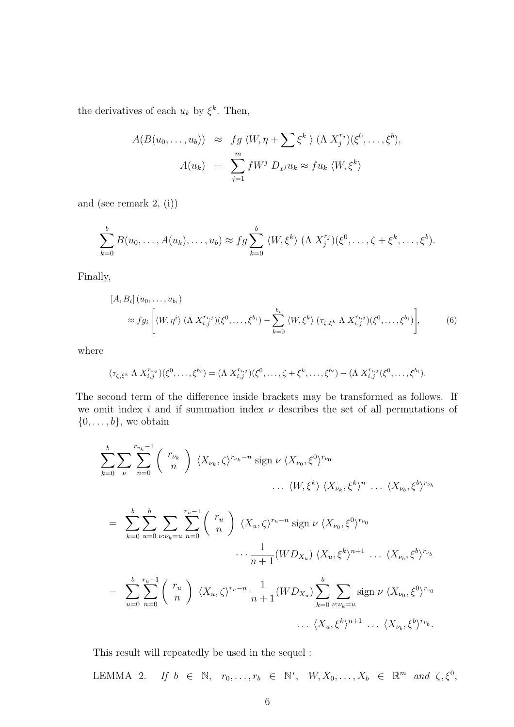the derivatives of each  $u_k$  by  $\xi^k$ . Then,

$$
A(B(u_0,\ldots,u_b)) \approx fg \langle W, \eta + \sum \xi^k \rangle (\Lambda X_j^{r_j})(\xi^0,\ldots,\xi^b),
$$
  

$$
A(u_k) = \sum_{j=1}^m fW^j D_{x^j}u_k \approx fu_k \langle W, \xi^k \rangle
$$

and (see remark 2, (i))

$$
\sum_{k=0}^b B(u_0,\ldots,A(u_k),\ldots,u_b) \approx fg \sum_{k=0}^b \langle W,\xi^k\rangle \; (\Lambda \; X_j^{r_j})(\xi^0,\ldots,\zeta+\xi^k,\ldots,\xi^b).
$$

Finally,

$$
[A, B_i] (u_0, \dots, u_{b_i})
$$
  
\n
$$
\approx f g_i \left[ \langle W, \eta^i \rangle \left( \Lambda \ X_{i,j}^{r_{i,j}} \right) (\xi^0, \dots, \xi^{b_i}) - \sum_{k=0}^{b_i} \langle W, \xi^k \rangle \left( \tau_{\zeta, \xi^k} \Lambda \ X_{i,j}^{r_{i,j}} \right) (\xi^0, \dots, \xi^{b_i}) \right],
$$
 (6)

where

$$
(\tau_{\zeta,\xi^k} \Lambda X_{i,j}^{r_{i,j}})(\xi^0,\ldots,\xi^{b_i}) = (\Lambda X_{i,j}^{r_{i,j}})(\xi^0,\ldots,\zeta+\xi^k,\ldots,\xi^{b_i}) - (\Lambda X_{i,j}^{r_{i,j}}(\xi^0,\ldots,\xi^{b_i}).
$$

The second term of the difference inside brackets may be transformed as follows. If we omit index i and if summation index  $\nu$  describes the set of all permutations of  $\{0, \ldots, b\}$ , we obtain

$$
\sum_{k=0}^{b} \sum_{\nu} \sum_{n=0}^{r_{v_k}-1} \binom{r_{\nu_k}}{n} \langle X_{\nu_k}, \zeta \rangle^{r_{\nu_k}-n} \operatorname{sign} \nu \langle X_{\nu_0}, \xi^0 \rangle^{r_{\nu_0}} \dots \langle X_{\nu_k}, \xi^k \rangle^{n} \dots \langle X_{\nu_b}, \xi^b \rangle^{r_{\nu_b}}
$$

$$
= \sum_{k=0}^{b} \sum_{u=0}^{b} \sum_{\nu:\nu_k=u} \sum_{n=0}^{r_u-1} \binom{r_u}{n} \langle X_u, \zeta \rangle^{r_u-n} \operatorname{sign} \nu \langle X_{\nu_0}, \xi^0 \rangle^{r_{\nu_0}} \cdots \frac{1}{n+1} (W D_{X_u}) \langle X_u, \xi^k \rangle^{n+1} \cdots \langle X_{\nu_b}, \xi^b \rangle^{r_{\nu_b}}
$$
  

$$
= \sum_{u=0}^{b} \sum_{n=0}^{r_u-1} \binom{r_u}{n} \langle X_u, \zeta \rangle^{r_u-n} \frac{1}{n+1} (W D_{X_u}) \sum_{k=0}^{b} \sum_{\nu:\nu_k=u} \operatorname{sign} \nu \langle X_{\nu_0}, \xi^0 \rangle^{r_{\nu_0}} \cdots \langle X_u, \xi^k \rangle^{n+1} \cdots \langle X_{\nu_b}, \xi^b \rangle^{r_{\nu_b}}.
$$

This result will repeatedly be used in the sequel :

LEMMA 2. If  $b \in \mathbb{N}$ ,  $r_0, \ldots, r_b \in \mathbb{N}^*$ ,  $W, X_0, \ldots, X_b \in \mathbb{R}^m$  and  $\zeta, \xi^0$ ,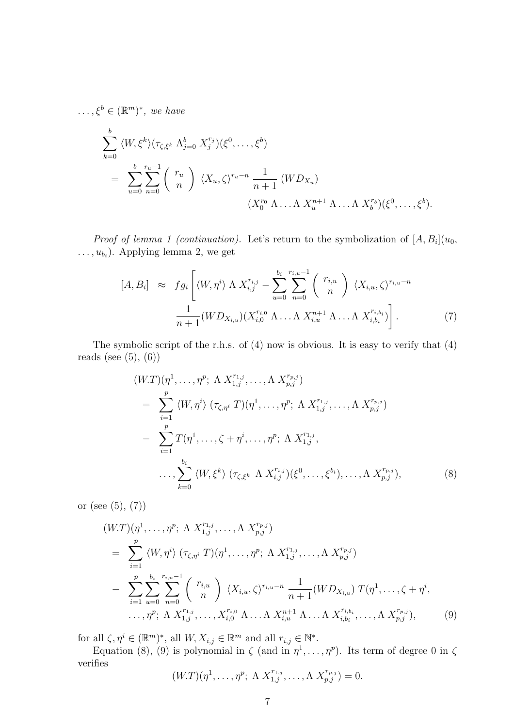$\ldots, \xi^b \in (\mathbb{R}^m)^*$ , we have

$$
\sum_{k=0}^{b} \langle W, \xi^k \rangle (\tau_{\zeta, \xi^k} \Lambda_{j=0}^b X_j^{r_j}) (\xi^0, \dots, \xi^b)
$$
\n
$$
= \sum_{u=0}^{b} \sum_{n=0}^{r_u-1} {r_u \choose n} \langle X_u, \zeta \rangle^{r_u-n} \frac{1}{n+1} (W D_{X_u})
$$
\n
$$
(X_0^{r_0} \Lambda \dots \Lambda X_u^{n+1} \Lambda \dots \Lambda X_b^{r_b}) (\xi^0, \dots, \xi^b).
$$

*Proof of lemma 1 (continuation)*. Let's return to the symbolization of  $[A, B_i](u_0)$ ,  $\dots, u_{b_i}$ ). Applying lemma 2, we get

$$
[A, B_i] \approx f g_i \left[ \langle W, \eta^i \rangle \Lambda \, X_{i,j}^{r_{i,j}} - \sum_{u=0}^{b_i} \sum_{n=0}^{r_{i,u}-1} {r_{i,u} \choose n} \, \langle X_{i,u}, \zeta \rangle^{r_{i,u}-n} \right] \frac{1}{n+1} (W D_{X_{i,u}}) (X_{i,0}^{r_{i,0}} \Lambda \dots \Lambda \, X_{i,u}^{n+1} \Lambda \dots \Lambda \, X_{i,b_i}^{r_{i,b_i}}) \right]. \tag{7}
$$

The symbolic script of the r.h.s. of (4) now is obvious. It is easy to verify that (4) reads (see  $(5)$ ,  $(6)$ )

$$
(W.T)(\eta^{1}, \ldots, \eta^{p}; \Lambda X_{1,j}^{r_{1,j}}, \ldots, \Lambda X_{p,j}^{r_{p,j}})
$$
\n
$$
= \sum_{i=1}^{p} \langle W, \eta^{i} \rangle (\tau_{\zeta, \eta^{i}} T)(\eta^{1}, \ldots, \eta^{p}; \Lambda X_{1,j}^{r_{1,j}}, \ldots, \Lambda X_{p,j}^{r_{p,j}})
$$
\n
$$
- \sum_{i=1}^{p} T(\eta^{1}, \ldots, \zeta + \eta^{i}, \ldots, \eta^{p}; \Lambda X_{1,j}^{r_{1,j}}, \ldots, \ldots, \sum_{k=0}^{b_{i}} \langle W, \xi^{k} \rangle (\tau_{\zeta, \xi^{k}} \Lambda X_{i,j}^{r_{i,j}})(\xi^{0}, \ldots, \xi^{b_{i}}), \ldots, \Lambda X_{p,j}^{r_{p,j}}), \qquad (8)
$$

or (see  $(5)$ ,  $(7)$ )

$$
(W.T)(\eta^{1}, \ldots, \eta^{p}; \Lambda X_{1,j}^{r_{1,j}}, \ldots, \Lambda X_{p,j}^{r_{p,j}})
$$
\n
$$
= \sum_{i=1}^{p} \langle W, \eta^{i} \rangle (\tau_{\zeta, \eta^{i}} T)(\eta^{1}, \ldots, \eta^{p}; \Lambda X_{1,j}^{r_{1,j}}, \ldots, \Lambda X_{p,j}^{r_{p,j}})
$$
\n
$$
- \sum_{i=1}^{p} \sum_{u=0}^{b_{i}} \sum_{n=0}^{r_{i,u}-1} {r_{i,u} \choose n} \langle X_{i,u}, \zeta \rangle^{r_{i,u}-n} \frac{1}{n+1} (W D_{X_{i,u}}) T(\eta^{1}, \ldots, \zeta + \eta^{i}, \ldots, \eta^{p}; \Lambda X_{1,j}^{r_{1,j}}, \ldots, X_{i,0}^{r_{i,0}} \Lambda \ldots \Lambda X_{i,u}^{n+1} \Lambda \ldots \Lambda X_{i,b_{i}}^{r_{i,b_{i}}}, \ldots, \Lambda X_{p,j}^{r_{p,j}}), \qquad (9)
$$

for all  $\zeta, \eta^i \in (\mathbb{R}^m)^*$ , all  $W, X_{i,j} \in \mathbb{R}^m$  and all  $r_{i,j} \in \mathbb{N}^*$ .

Equation (8), (9) is polynomial in  $\zeta$  (and in  $\eta^1, \ldots, \eta^p$ ). Its term of degree 0 in  $\zeta$ verifies

$$
(W.T)(\eta^{1}, \ldots, \eta^{p}; \Lambda X_{1,j}^{r_{1,j}}, \ldots, \Lambda X_{p,j}^{r_{p,j}}) = 0.
$$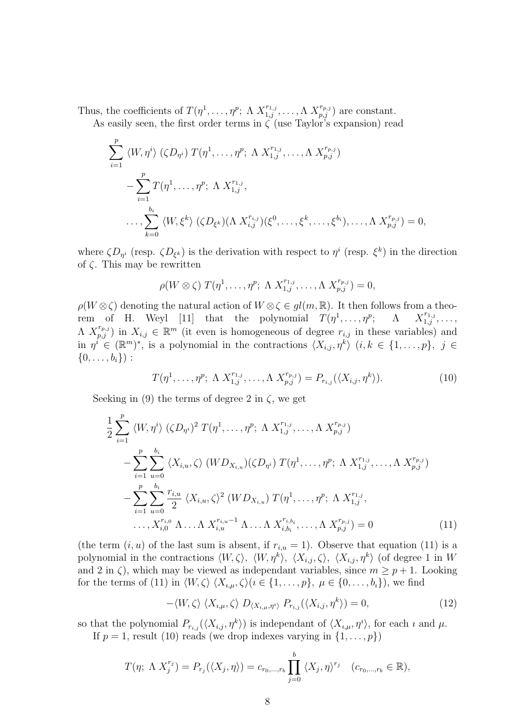Thus, the coefficients of  $T(\eta^1, \ldots, \eta^p; \Lambda X_{1,j}^{r_{1,j}}, \ldots, \Lambda X_{p,j}^{r_{p,j}})$  are constant.

As easily seen, the first order terms in  $\zeta$  (use Taylor's expansion) read

$$
\sum_{i=1}^{p} \langle W, \eta^{i} \rangle \left( \zeta D_{\eta^{i}} \right) T(\eta^{1}, \dots, \eta^{p}; \Lambda X_{1,j}^{r_{1,j}}, \dots, \Lambda X_{p,j}^{r_{p,j}}) \n- \sum_{i=1}^{p} T(\eta^{1}, \dots, \eta^{p}; \Lambda X_{1,j}^{r_{1,j}}, \n\dots, \sum_{k=0}^{b_{i}} \langle W, \xi^{k} \rangle \left( \zeta D_{\xi^{k}} \right) (\Lambda X_{i,j}^{r_{i,j}}) (\xi^{0}, \dots, \xi^{k}, \dots, \xi^{b_{i}}), \dots, \Lambda X_{p,j}^{r_{p,j}}) = 0,
$$

where  $\zeta D_{\eta^i}$  (resp.  $\zeta D_{\xi^k}$ ) is the derivation with respect to  $\eta^i$  (resp.  $\xi^k$ ) in the direction of  $\zeta$ . This may be rewritten

$$
\rho(W\otimes\zeta) T(\eta^1,\ldots,\eta^p;\ \Lambda \ X_{1,j}^{r_{1,j}},\ldots,\Lambda \ X_{p,j}^{r_{p,j}})=0,
$$

 $\rho(W \otimes \zeta)$  denoting the natural action of  $W \otimes \zeta \in gl(m, \mathbb{R})$ . It then follows from a theorem of H. Weyl [11] that the polynomial  $T(\eta^1, \ldots, \eta^p; \Lambda = X_{1,j}^{r_{1,j}}, \ldots,$  $\Lambda$   $X_{p,j}^{r_{p,j}}$  in  $X_{i,j} \in \mathbb{R}^m$  (it even is homogeneous of degree  $r_{i,j}$  in these variables) and in  $\eta^i \in (\mathbb{R}^m)^*$ , is a polynomial in the contractions  $\langle X_{i,j}, \eta^k \rangle$   $(i, k \in \{1, \ldots, p\}, \ j \in$  $\{0, \ldots, b_i\}$ :

$$
T(\eta^1, \dots, \eta^p; \Lambda \, X_{1,j}^{r_{1,j}}, \dots, \Lambda \, X_{p,j}^{r_{p,j}}) = P_{r_{i,j}}(\langle X_{i,j}, \eta^k \rangle).
$$
 (10)

Seeking in (9) the terms of degree 2 in  $\zeta$ , we get

$$
\frac{1}{2} \sum_{i=1}^{p} \langle W, \eta^{i} \rangle (\zeta D_{\eta^{i}})^{2} T(\eta^{1}, \dots, \eta^{p}; \Lambda X_{1,j}^{r_{1,j}}, \dots, \Lambda X_{p,j}^{r_{p,j}})
$$
\n
$$
- \sum_{i=1}^{p} \sum_{u=0}^{b_{i}} \langle X_{i,u}, \zeta \rangle (W D_{X_{i,u}}) (\zeta D_{\eta^{i}}) T(\eta^{1}, \dots, \eta^{p}; \Lambda X_{1,j}^{r_{1,j}}, \dots, \Lambda X_{p,j}^{r_{p,j}})
$$
\n
$$
- \sum_{i=1}^{p} \sum_{u=0}^{b_{i}} \frac{r_{i,u}}{2} \langle X_{i,u}, \zeta \rangle^{2} (W D_{X_{i,u}}) T(\eta^{1}, \dots, \eta^{p}; \Lambda X_{1,j}^{r_{1,j}}, \dots, \Lambda X_{p,j}^{r_{p,j}})
$$
\n
$$
\dots, X_{i,0}^{r_{i,0}} \Lambda \dots \Lambda X_{i,u}^{r_{i,u}-1} \Lambda \dots \Lambda X_{i,b_{i}}^{r_{i,b_{i}}}, \dots, \Lambda X_{p,j}^{r_{p,j}}) = 0
$$
\n(11)

(the term  $(i, u)$  of the last sum is absent, if  $r_{i, u} = 1$ ). Observe that equation (11) is a polynomial in the contractions  $\langle W, \zeta \rangle$ ,  $\langle W, \eta^k \rangle$ ,  $\langle X_{i,j}, \zeta \rangle$ ,  $\langle X_{i,j}, \eta^k \rangle$  (of degree 1 in W and 2 in  $\zeta$ ), which may be viewed as independant variables, since  $m \ge p + 1$ . Looking for the terms of (11) in  $\langle W, \zeta \rangle$   $\langle X_{i,\mu}, \zeta \rangle$  ( $i \in \{1, \ldots, p\}$ ,  $\mu \in \{0, \ldots, b_i\}$ ), we find

$$
-\langle W,\zeta\rangle\langle X_{i,\mu},\zeta\rangle D_{\langle X_{i,\mu},\eta^i\rangle} P_{r_{i,j}}(\langle X_{i,j},\eta^k\rangle) = 0, \qquad (12)
$$

so that the polynomial  $P_{r_{i,j}}(\langle X_{i,j} , \eta^k \rangle)$  is independant of  $\langle X_{i,\mu} , \eta^i \rangle$ , for each  $i$  and  $\mu$ .

If  $p = 1$ , result (10) reads (we drop indexes varying in  $\{1, \ldots, p\}$ )

$$
T(\eta; \Lambda X_j^{r_j}) = P_{r_j}(\langle X_j, \eta \rangle) = c_{r_0, \dots, r_b} \prod_{j=0}^b \langle X_j, \eta \rangle^{r_j} \quad (c_{r_0, \dots, r_b} \in \mathbb{R}),
$$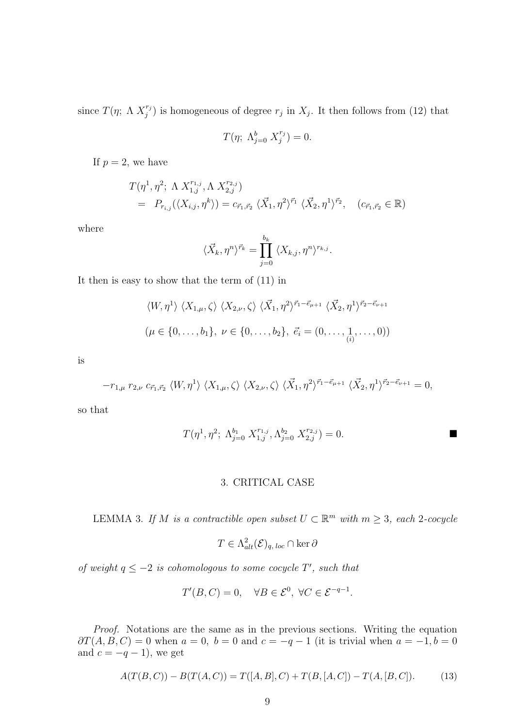since  $T(\eta; \Lambda X_i^{r_j})$  $j^{(r_j)}$  is homogeneous of degree  $r_j$  in  $X_j$ . It then follows from (12) that

$$
T(\eta; \Lambda_{j=0}^b X_j^{r_j}) = 0.
$$

If  $p = 2$ , we have

$$
T(\eta^1, \eta^2; \Lambda X_{1,j}^{r_{1,j}}, \Lambda X_{2,j}^{r_{2,j}})
$$
  
=  $P_{r_{i,j}}(\langle X_{i,j}, \eta^k \rangle) = c_{\vec{r}_1, \vec{r}_2} \langle \vec{X}_1, \eta^2 \rangle^{\vec{r}_1} \langle \vec{X}_2, \eta^1 \rangle^{\vec{r}_2}, (c_{\vec{r}_1, \vec{r}_2} \in \mathbb{R})$ 

where

$$
\langle \vec{X}_k, \eta^n \rangle^{\vec{r}_k} = \prod_{j=0}^{b_k} \langle X_{k,j}, \eta^n \rangle^{r_{k,j}}.
$$

It then is easy to show that the term of (11) in

$$
\langle W, \eta^1 \rangle \langle X_{1,\mu}, \zeta \rangle \langle X_{2,\nu}, \zeta \rangle \langle \vec{X}_1, \eta^2 \rangle^{\vec{r}_1 - \vec{e}_{\mu+1}} \langle \vec{X}_2, \eta^1 \rangle^{\vec{r}_2 - \vec{e}_{\nu+1}}
$$
  

$$
(\mu \in \{0, \dots, b_1\}, \ \nu \in \{0, \dots, b_2\}, \ \vec{e}_i = (0, \dots, 1, \dots, 0))
$$

is

$$
-r_{1,\mu} r_{2,\nu} c_{\vec{r}_1,\vec{r}_2} \langle W,\eta^1 \rangle \langle X_{1,\mu},\zeta \rangle \langle X_{2,\nu},\zeta \rangle \langle \vec{X}_1,\eta^2 \rangle^{\vec{r}_1-\vec{e}_{\mu+1}} \langle \vec{X}_2,\eta^1 \rangle^{\vec{r}_2-\vec{e}_{\nu+1}} = 0,
$$

so that

$$
T(\eta^1, \eta^2; \Lambda_{j=0}^{b_1} X_{1,j}^{r_{1,j}}, \Lambda_{j=0}^{b_2} X_{2,j}^{r_{2,j}}) = 0.
$$

## 3. CRITICAL CASE

LEMMA 3. If M is a contractible open subset  $U \subset \mathbb{R}^m$  with  $m \geq 3$ , each 2-cocycle

$$
T \in \Lambda^2_{alt}(\mathcal{E})_{q, loc} \cap \ker \partial
$$

of weight  $q \leq -2$  is cohomologous to some cocycle  $T'$ , such that

$$
T'(B, C) = 0, \quad \forall B \in \mathcal{E}^0, \ \forall C \in \mathcal{E}^{-q-1}.
$$

Proof. Notations are the same as in the previous sections. Writing the equation  $\partial T(A, B, C) = 0$  when  $a = 0$ ,  $b = 0$  and  $c = -q - 1$  (it is trivial when  $a = -1$ ,  $b = 0$ and  $c = -q - 1$ , we get

$$
A(T(B,C)) - B(T(A,C)) = T([A,B],C) + T(B,[A,C]) - T(A,[B,C]).
$$
\n(13)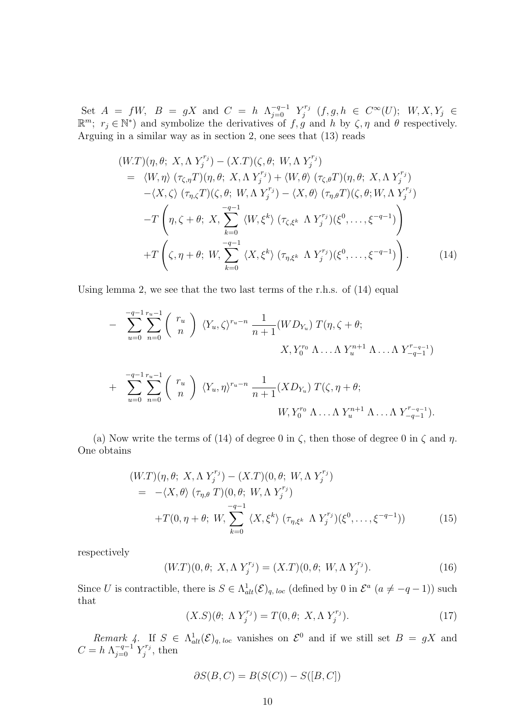Set  $A = fW$ ,  $B = gX$  and  $C = h \Lambda_{j=0}^{-q-1} Y_j^{r_j}$  $\zeta_j^{r_j}$   $(f, g, h \in C^{\infty}(U); W, X, Y_j \in$  $\mathbb{R}^m$ ;  $r_j \in \mathbb{N}^*$ ) and symbolize the derivatives of  $f, g$  and h by  $\zeta, \eta$  and  $\theta$  respectively. Arguing in a similar way as in section 2, one sees that (13) reads

$$
(W.T)(\eta, \theta; X, \Lambda Y_j^{r_j}) - (X.T)(\zeta, \theta; W, \Lambda Y_j^{r_j})
$$
  
\n
$$
= \langle W, \eta \rangle (\tau_{\zeta, \eta} T)(\eta, \theta; X, \Lambda Y_j^{r_j}) + \langle W, \theta \rangle (\tau_{\zeta, \theta} T)(\eta, \theta; X, \Lambda Y_j^{r_j})
$$
  
\n
$$
- \langle X, \zeta \rangle (\tau_{\eta, \zeta} T)(\zeta, \theta; W, \Lambda Y_j^{r_j}) - \langle X, \theta \rangle (\tau_{\eta, \theta} T)(\zeta, \theta; W, \Lambda Y_j^{r_j})
$$
  
\n
$$
-T \left(\eta, \zeta + \theta; X, \sum_{k=0}^{-q-1} \langle W, \xi^k \rangle (\tau_{\zeta, \xi^k} \Lambda Y_j^{r_j})(\xi^0, \dots, \xi^{-q-1})\right)
$$
  
\n
$$
+T \left(\zeta, \eta + \theta; W, \sum_{k=0}^{-q-1} \langle X, \xi^k \rangle (\tau_{\eta, \xi^k} \Lambda Y_j^{r_j})(\xi^0, \dots, \xi^{-q-1})\right).
$$
(14)

Using lemma 2, we see that the two last terms of the r.h.s. of (14) equal

$$
- \sum_{u=0}^{-q-1} \sum_{n=0}^{r_u-1} {r_u \choose n} \langle Y_u, \zeta \rangle^{r_u-n} \frac{1}{n+1} (W D_{Y_u}) T(\eta, \zeta + \theta; X, Y_0^{r_0} \Lambda \dots \Lambda Y_u^{n+1} \Lambda \dots \Lambda Y_{-q-1}^{r_{-q-1}})
$$
  
+ 
$$
\sum_{u=0}^{-q-1} \sum_{n=0}^{r_u-1} {r_u \choose n} \langle Y_u, \eta \rangle^{r_u-n} \frac{1}{n+1} (X D_{Y_u}) T(\zeta, \eta + \theta; W, Y_0^{r_0} \Lambda \dots \Lambda Y_u^{n+1} \Lambda \dots \Lambda Y_{-q-1}^{r_{-q-1}}).
$$

(a) Now write the terms of (14) of degree 0 in  $\zeta$ , then those of degree 0 in  $\zeta$  and  $\eta$ . One obtains

$$
(W.T)(\eta, \theta; X, \Lambda Y_j^{r_j}) - (X.T)(0, \theta; W, \Lambda Y_j^{r_j})
$$
  
= -\langle X, \theta \rangle (\tau\_{\eta, \theta} T)(0, \theta; W, \Lambda Y\_j^{r\_j})  
+T(0, \eta + \theta; W, \sum\_{k=0}^{-q-1} \langle X, \xi^k \rangle (\tau\_{\eta, \xi^k} \Lambda Y\_j^{r\_j})(\xi^0, \dots, \xi^{-q-1})) (15)

respectively

$$
(W.T)(0, \theta; X, \Lambda Y_j^{r_j}) = (X.T)(0, \theta; W, \Lambda Y_j^{r_j}).
$$
\n(16)

Since U is contractible, there is  $S \in \Lambda^1_{alt}(\mathcal{E})_{q, loc}$  (defined by 0 in  $\mathcal{E}^a$   $(a \neq -q-1)$ ) such that

$$
(X.S)(\theta; \Lambda Y_j^{r_j}) = T(0,\theta; X, \Lambda Y_j^{r_j}). \tag{17}
$$

Remark 4. If  $S \in \Lambda^1_{alt}(\mathcal{E})_{q, loc}$  vanishes on  $\mathcal{E}^0$  and if we still set  $B = gX$  and  $C = h \Lambda_{j=0}^{-q-1} Y_j^{r_j}$  $j^{r_j}$ , then

$$
\partial S(B, C) = B(S(C)) - S([B, C])
$$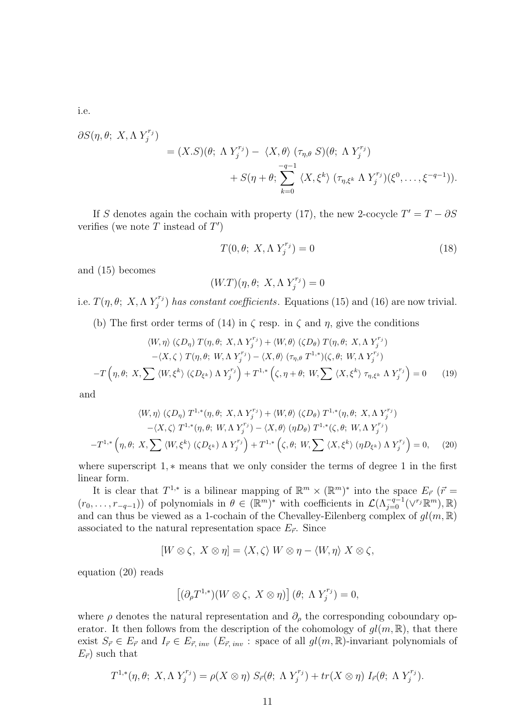i.e.

$$
\partial S(\eta, \theta; X, \Lambda Y_j^{r_j})
$$
  
=  $(X.S)(\theta; \Lambda Y_j^{r_j}) - \langle X, \theta \rangle (\tau_{\eta, \theta} S)(\theta; \Lambda Y_j^{r_j})$   
+  $S(\eta + \theta; \sum_{k=0}^{-q-1} \langle X, \xi^k \rangle (\tau_{\eta, \xi^k} \Lambda Y_j^{r_j})(\xi^0, \dots, \xi^{-q-1})).$ 

If S denotes again the cochain with property (17), the new 2-cocycle  $T' = T - \partial S$ verifies (we note T instead of  $T'$ )

$$
T(0, \theta; X, \Lambda Y_j^{r_j}) = 0 \tag{18}
$$

and (15) becomes

$$
(W.T)(\eta, \theta; X, \Lambda Y_j^{r_j}) = 0
$$

i.e.  $T(\eta, \theta; X, \Lambda Y_i^{r_j})$  $j^{(r_j)}$  has constant coefficients. Equations (15) and (16) are now trivial.

(b) The first order terms of (14) in  $\zeta$  resp. in  $\zeta$  and  $\eta$ , give the conditions

$$
\langle W, \eta \rangle (\zeta D_{\eta}) T(\eta, \theta; X, \Lambda Y_j^{r_j}) + \langle W, \theta \rangle (\zeta D_{\theta}) T(\eta, \theta; X, \Lambda Y_j^{r_j})
$$

$$
- \langle X, \zeta \rangle T(\eta, \theta; W, \Lambda Y_j^{r_j}) - \langle X, \theta \rangle (\tau_{\eta, \theta} T^{1, *})(\zeta, \theta; W, \Lambda Y_j^{r_j})
$$

$$
-T(\eta, \theta; X, \sum \langle W, \xi^k \rangle (\zeta D_{\xi^k}) \Lambda Y_j^{r_j}) + T^{1, *}(\zeta, \eta + \theta; W, \sum \langle X, \xi^k \rangle \tau_{\eta, \xi^k} \Lambda Y_j^{r_j}) = 0 \qquad (19)
$$

and

$$
\langle W, \eta \rangle (\zeta D_{\eta}) T^{1,*}(\eta, \theta; X, \Lambda Y_j^{r_j}) + \langle W, \theta \rangle (\zeta D_{\theta}) T^{1,*}(\eta, \theta; X, \Lambda Y_j^{r_j})
$$

$$
-\langle X, \zeta \rangle T^{1,*}(\eta, \theta; W, \Lambda Y_j^{r_j}) - \langle X, \theta \rangle (\eta D_{\theta}) T^{1,*}(\zeta, \theta; W, \Lambda Y_j^{r_j})
$$

$$
-T^{1,*}(\eta, \theta; X, \sum \langle W, \xi^k \rangle (\zeta D_{\xi^k}) \Lambda Y_j^{r_j}) + T^{1,*}(\zeta, \theta; W, \sum \langle X, \xi^k \rangle (\eta D_{\xi^k}) \Lambda Y_j^{r_j}) = 0, \quad (20)
$$

where superscript 1,  $*$  means that we only consider the terms of degree 1 in the first linear form.

It is clear that  $T^{1,*}$  is a bilinear mapping of  $\mathbb{R}^m \times (\mathbb{R}^m)^*$  into the space  $E_{\vec{r}}$  ( $\vec{r}$ )  $(r_0,\ldots,r_{-q-1})$  of polynomials in  $\theta \in (\mathbb{R}^m)^*$  with coefficients in  $\mathcal{L}(\Lambda_{j=0}^{-q-1}(\vee^{r_j}\mathbb{R}^m),\mathbb{R})$ and can thus be viewed as a 1-cochain of the Chevalley-Eilenberg complex of  $gl(m, \mathbb{R})$ associated to the natural representation space  $E_{\vec{r}}$ . Since

$$
[W \otimes \zeta, X \otimes \eta] = \langle X, \zeta \rangle W \otimes \eta - \langle W, \eta \rangle X \otimes \zeta,
$$

equation (20) reads

$$
[(\partial_{\rho}T^{1,*})(W\otimes\zeta, X\otimes\eta)](\theta; \Lambda Y_{j}^{r_{j}})=0,
$$

where  $\rho$  denotes the natural representation and  $\partial_{\rho}$  the corresponding coboundary operator. It then follows from the description of the cohomology of  $gl(m, \mathbb{R})$ , that there exist  $S_{\vec{r}} \in E_{\vec{r}}$  and  $I_{\vec{r}} \in E_{\vec{r}, inv}$  ( $E_{\vec{r}, inv}$ : space of all  $gl(m, \mathbb{R})$ -invariant polynomials of  $E_{\vec{r}}$  such that

$$
T^{1,*}(\eta,\theta; X, \Lambda Y_j^{r_j}) = \rho(X \otimes \eta) S_{\vec{r}}(\theta; \Lambda Y_j^{r_j}) + tr(X \otimes \eta) I_{\vec{r}}(\theta; \Lambda Y_j^{r_j}).
$$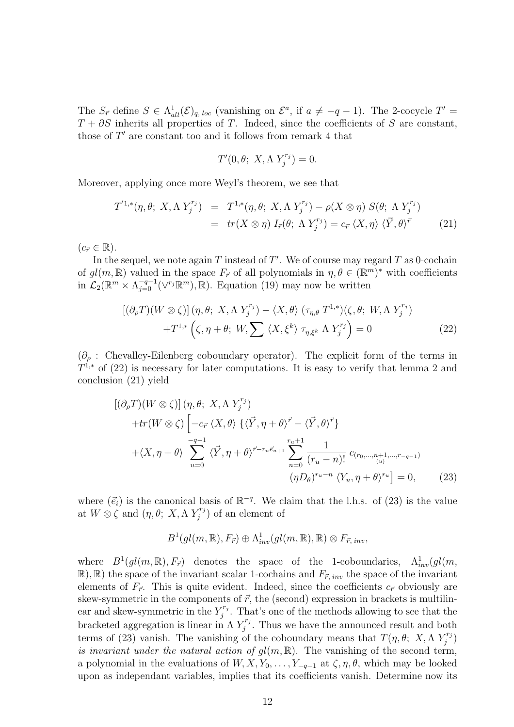The  $S_{\vec{r}}$  define  $S \in \Lambda^1_{alt}(\mathcal{E})_{q, loc}$  (vanishing on  $\mathcal{E}^a$ , if  $a \neq -q-1$ ). The 2-cocycle  $T' =$  $T + \partial S$  inherits all properties of T. Indeed, since the coefficients of S are constant, those of  $T'$  are constant too and it follows from remark 4 that

$$
T'(0, \theta; X, \Lambda Y_j^{r_j}) = 0.
$$

Moreover, applying once more Weyl's theorem, we see that

$$
T^{1,*}(\eta,\theta; X, \Lambda Y_j^{r_j}) = T^{1,*}(\eta,\theta; X, \Lambda Y_j^{r_j}) - \rho(X \otimes \eta) S(\theta; \Lambda Y_j^{r_j})
$$
  
=  $tr(X \otimes \eta) I_{\vec{r}}(\theta; \Lambda Y_j^{r_j}) = c_{\vec{r}} \langle X, \eta \rangle \langle \vec{Y}, \theta \rangle^{\vec{r}}$  (21)

 $(c_{\vec{r}} \in \mathbb{R}).$ 

In the sequel, we note again  $T$  instead of  $T'$ . We of course may regard  $T$  as 0-cochain of  $gl(m, \mathbb{R})$  valued in the space  $F_{\vec{r}}$  of all polynomials in  $\eta, \theta \in (\mathbb{R}^m)^*$  with coefficients in  $\mathcal{L}_2(\mathbb{R}^m \times \Lambda_{j=0}^{-q-1}(\vee^{r_j} \mathbb{R}^m), \mathbb{R})$ . Equation (19) may now be written

$$
[(\partial_{\rho}T)(W \otimes \zeta)](\eta, \theta; X, \Lambda Y_j^{r_j}) - \langle X, \theta \rangle (\tau_{\eta, \theta} T^{1,*})(\zeta, \theta; W, \Lambda Y_j^{r_j}) + T^{1,*} (\zeta, \eta + \theta; W, \sum \langle X, \xi^k \rangle \tau_{\eta, \xi^k} \Lambda Y_j^{r_j}) = 0
$$
(22)

 $(\partial_{\rho}$ : Chevalley-Eilenberg coboundary operator). The explicit form of the terms in  $T^{1,*}$  of (22) is necessary for later computations. It is easy to verify that lemma 2 and conclusion (21) yield

$$
[(\partial_{\rho}T)(W \otimes \zeta)](\eta, \theta; X, \Lambda Y_j^{r_j})
$$
  
+
$$
tr(W \otimes \zeta) \left[ -c_{\vec{r}} \langle X, \theta \rangle \{ \langle \vec{Y}, \eta + \theta \rangle^{\vec{r}} - \langle \vec{Y}, \theta \rangle^{\vec{r}} \} + \langle X, \eta + \theta \rangle \sum_{u=0}^{-q-1} \langle \vec{Y}, \eta + \theta \rangle^{\vec{r} - r_u \vec{e}_{u+1}} \sum_{n=0}^{r_u+1} \frac{1}{(r_u - n)!} c_{(r_0, \dots, n+1, \dots, r-q-1)} \left( \eta D_{\theta} \right)^{r_u - n} \langle Y_u, \eta + \theta \rangle^{r_u} \right] = 0, \quad (23)
$$

where  $(\vec{e}_i)$  is the canonical basis of  $\mathbb{R}^{-q}$ . We claim that the l.h.s. of (23) is the value at  $W \otimes \zeta$  and  $(\eta, \theta; X, \Lambda Y_i^{r_j})$  $j^{r_{j}}$ ) of an element of

$$
B^1(gl(m,\mathbb{R}),F_{\vec{r}})\oplus \Lambda^1_{inv}(gl(m,\mathbb{R}),\mathbb{R})\otimes F_{\vec{r},inv},
$$

where  $B^1(gl(m,\mathbb{R}),F_{\vec{r}})$  denotes the space of the 1-coboundaries,  $\Lambda^1_{inv}(gl(m,\mathbb{R}))$  $\mathbb{R}$ ,  $\mathbb{R}$ ) the space of the invariant scalar 1-cochains and  $F_{\vec{r}, inv}$  the space of the invariant elements of  $F_{\vec{r}}$ . This is quite evident. Indeed, since the coefficients  $c_{\vec{r}}$  obviously are skew-symmetric in the components of  $\vec{r}$ , the (second) expression in brackets is multilinear and skew-symmetric in the  $Y_i^{r_j}$  $j^{r_j}$ . That's one of the methods allowing to see that the bracketed aggregation is linear in  $\Lambda Y_i^{r_j}$  $j^{r_j}$ . Thus we have the announced result and both terms of (23) vanish. The vanishing of the coboundary means that  $T(\eta, \theta; X, \Lambda Y_i^{\tau_i})$  $\binom{r_j}{j}$ is invariant under the natural action of  $gl(m, \mathbb{R})$ . The vanishing of the second term, a polynomial in the evaluations of  $W, X, Y_0, \ldots, Y_{-q-1}$  at  $\zeta, \eta, \theta$ , which may be looked upon as independant variables, implies that its coefficients vanish. Determine now its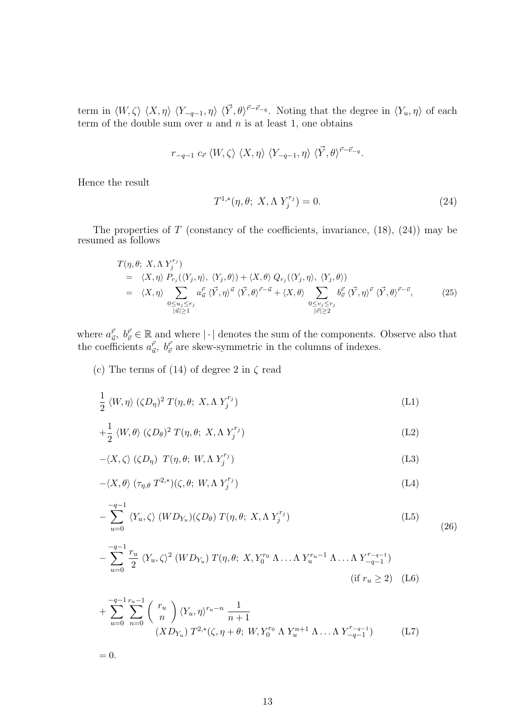term in  $\langle W, \zeta \rangle \langle X, \eta \rangle \langle Y_{-q-1}, \eta \rangle \langle \vec{Y}, \theta \rangle^{\vec{r}-\vec{e}_{-q}}$ . Noting that the degree in  $\langle Y_u, \eta \rangle$  of each term of the double sum over  $u$  and  $n$  is at least 1, one obtains

$$
r_{-q-1} \ c_{\vec{r}} \ \langle W, \zeta \rangle \ \langle X, \eta \rangle \ \langle Y_{-q-1}, \eta \rangle \ \langle \vec{Y}, \theta \rangle^{\vec{r}-\vec{e}_{-q}}.
$$

Hence the result

$$
T^{1,*}(\eta, \theta; X, \Lambda Y_j^{r_j}) = 0.
$$
 (24)

The properties of  $T$  (constancy of the coefficients, invariance,  $(18)$ ,  $(24)$ ) may be resumed as follows

$$
T(\eta, \theta; X, \Lambda Y_j^{r_j})
$$
  
\n
$$
= \langle X, \eta \rangle P_{r_j}(\langle Y_j, \eta \rangle, \langle Y_j, \theta \rangle) + \langle X, \theta \rangle Q_{r_j}(\langle Y_j, \eta \rangle, \langle Y_j, \theta \rangle)
$$
  
\n
$$
= \langle X, \eta \rangle \sum_{\substack{0 \le u_j \le r_j \\ |u| \ge 1}} a_{u}^{\vec{r}} \langle \vec{Y}, \eta \rangle^{\vec{u}} \langle \vec{Y}, \theta \rangle^{\vec{r} - \vec{u}} + \langle X, \theta \rangle \sum_{\substack{0 \le v_j \le r_j \\ |v| \ge 2}} b_{\vec{v}}^{\vec{r}} \langle \vec{Y}, \eta \rangle^{\vec{v}} \langle \vec{Y}, \theta \rangle^{\vec{r} - \vec{v}}, \tag{25}
$$

where  $a_{\vec{u}}^{\vec{r}}$ ,  $b_{\vec{v}}^{\vec{r}} \in \mathbb{R}$  and where  $|\cdot|$  denotes the sum of the components. Observe also that the coefficients  $a_{\vec{u}}^{\vec{r}}$ ,  $b_{\vec{v}}^{\vec{r}}$  are skew-symmetric in the columns of indexes.

(c) The terms of (14) of degree 2 in  $\zeta$  read

$$
\frac{1}{2} \langle W, \eta \rangle \, (\zeta D_{\eta})^2 \, T(\eta, \theta; \, X, \Lambda \, Y_j^{r_j}) \tag{L1}
$$

$$
+\frac{1}{2} \langle W,\theta\rangle \ (\zeta D_{\theta})^2 \ T(\eta,\theta;\ X,\Lambda \ Y_j^{r_j}) \tag{L2}
$$

$$
-\langle X,\zeta\rangle \ (\zeta D_{\eta}) \ T(\eta,\theta; \ W,\Lambda \ Y_{j}^{r_{j}}) \tag{L3}
$$

$$
-\langle X,\theta\rangle\;(\tau_{\eta,\theta}\;T^{2,*})(\zeta,\theta;\;W,\Lambda\;Y_j^{r_j})\tag{L4}
$$

$$
-\sum_{u=0}^{-q-1} \langle Y_u, \zeta \rangle \left( W D_{Y_u} \right) \left( \zeta D_{\theta} \right) T(\eta, \theta; X, \Lambda Y_j^{r_j}) \tag{L5}
$$

$$
-\sum_{u=0}^{-q-1} \frac{r_u}{2} \langle Y_u, \zeta \rangle^2 (W D_{Y_u}) T(\eta, \theta; X, Y_0^{r_0} \Lambda \dots \Lambda Y_u^{r_u-1} \Lambda \dots \Lambda Y_{-q-1}^{r_{-q-1}})
$$
  
(if  $r_u \ge 2$ ) (L6)

+ 
$$
\sum_{u=0}^{-q-1} \sum_{n=0}^{r_u-1} {r_u \choose n} \langle Y_u, \eta \rangle^{r_u-n} \frac{1}{n+1}
$$
  

$$
(XD_{Y_u}) T^{2,*}(\zeta, \eta + \theta; W, Y_0^{r_0} \Lambda Y_u^{n+1} \Lambda ... \Lambda Y_{-q-1}^{r_{-q-1}})
$$
 (L7)

 $= 0.$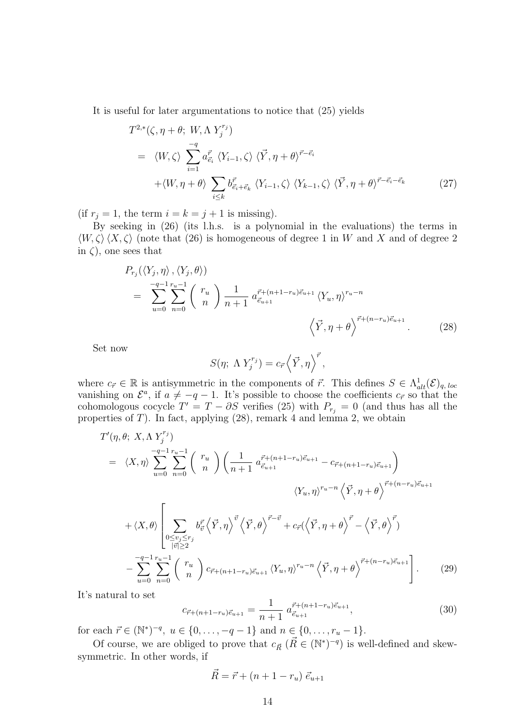It is useful for later argumentations to notice that (25) yields

$$
T^{2,*}(\zeta, \eta + \theta; W, \Lambda Y_j^{r_j})
$$
  
\n
$$
= \langle W, \zeta \rangle \sum_{i=1}^{-q} a_{\vec{e}_i}^{\vec{r}} \langle Y_{i-1}, \zeta \rangle \langle \vec{Y}, \eta + \theta \rangle^{\vec{r} - \vec{e}_i}
$$
  
\n
$$
+ \langle W, \eta + \theta \rangle \sum_{i \le k} b_{\vec{e}_i + \vec{e}_k}^{\vec{r}} \langle Y_{i-1}, \zeta \rangle \langle Y_{k-1}, \zeta \rangle \langle \vec{Y}, \eta + \theta \rangle^{\vec{r} - \vec{e}_i - \vec{e}_k}
$$
(27)

(if  $r_j = 1$ , the term  $i = k = j + 1$  is missing).

By seeking in (26) (its l.h.s. is a polynomial in the evaluations) the terms in  $\langle W, \zeta \rangle \langle X, \zeta \rangle$  (note that (26) is homogeneous of degree 1 in W and X and of degree 2 in  $\zeta$ , one sees that

$$
P_{r_j}(\langle Y_j, \eta \rangle, \langle Y_j, \theta \rangle)
$$
  
= 
$$
\sum_{u=0}^{-q-1} \sum_{n=0}^{r_u-1} {r_u \choose n} \frac{1}{n+1} a_{\vec{e}_{u+1}}^{\vec{r}+(n+1-r_u)\vec{e}_{u+1}} \langle Y_u, \eta \rangle^{r_u-n}
$$
  

$$
\langle \vec{Y}, \eta + \theta \rangle^{\vec{r}+(n-r_u)\vec{e}_{u+1}}.
$$
 (28)

Set now

$$
S(\eta; \Lambda Y_j^{r_j}) = c_{\vec{r}} \left\langle \vec{Y}, \eta \right\rangle^{\vec{r}},
$$

where  $c_{\vec{r}} \in \mathbb{R}$  is antisymmetric in the components of  $\vec{r}$ . This defines  $S \in \Lambda^1_{alt}(\mathcal{E})_{q, loc}$ vanishing on  $\mathcal{E}^a$ , if  $a \neq -q-1$ . It's possible to choose the coefficients  $c_{\vec{r}}$  so that the cohomologous cocycle  $T' = T - \partial S$  verifies (25) with  $P_{r_j} = 0$  (and thus has all the properties of  $T$ ). In fact, applying  $(28)$ , remark 4 and lemma 2, we obtain

$$
T'(\eta, \theta; X, \Lambda Y_j^{r_j})
$$
\n
$$
= \langle X, \eta \rangle \sum_{u=0}^{-q-1} \sum_{n=0}^{r_u-1} \binom{r_u}{n} \left( \frac{1}{n+1} a_{\vec{e}_{u+1}}^{\vec{r}+(n+1-r_u)\vec{e}_{u+1}} - c_{\vec{r}+(n+1-r_u)\vec{e}_{u+1}} \right)
$$
\n
$$
\langle Y_u, \eta \rangle^{r_u-n} \langle \vec{Y}, \eta + \theta \rangle^{\vec{r}+(n-r_u)\vec{e}_{u+1}}
$$
\n
$$
+ \langle X, \theta \rangle \left[ \sum_{\substack{0 \le v_j \le r_j \\ |\vec{v}| \ge 2}} b_{\vec{v}}^{\vec{r}} \langle \vec{Y}, \eta \rangle^{\vec{v}} \langle \vec{Y}, \theta \rangle^{\vec{r}-\vec{v}} + c_{\vec{r}} (\langle \vec{Y}, \eta + \theta \rangle^{\vec{r}} - \langle \vec{Y}, \theta \rangle^{\vec{r}}) \right]
$$
\n
$$
- \sum_{u=0}^{-q-1} \sum_{n=0}^{r_u-1} \binom{r_u}{n} c_{\vec{r}+(n+1-r_u)\vec{e}_{u+1}} \langle Y_u, \eta \rangle^{r_u-n} \langle \vec{Y}, \eta + \theta \rangle^{\vec{r}+(n-r_u)\vec{e}_{u+1}} \right]. \tag{29}
$$

It's natural to set

$$
c_{\vec{r}+(n+1-r_u)\vec{e}_{u+1}} = \frac{1}{n+1} \; a_{\vec{e}_{u+1}}^{\vec{r}+(n+1-r_u)\vec{e}_{u+1}},\tag{30}
$$

for each  $\vec{r} \in (\mathbb{N}^*)^{-q}, u \in \{0, \ldots, -q-1\}$  and  $n \in \{0, \ldots, r_u-1\}.$ 

Of course, we are obliged to prove that  $c_{\vec{R}}$  ( $\vec{R} \in (\mathbb{N}^*)^{-q}$ ) is well-defined and skewsymmetric. In other words, if

$$
\vec{R} = \vec{r} + (n + 1 - r_u) \; \vec{e}_{u+1}
$$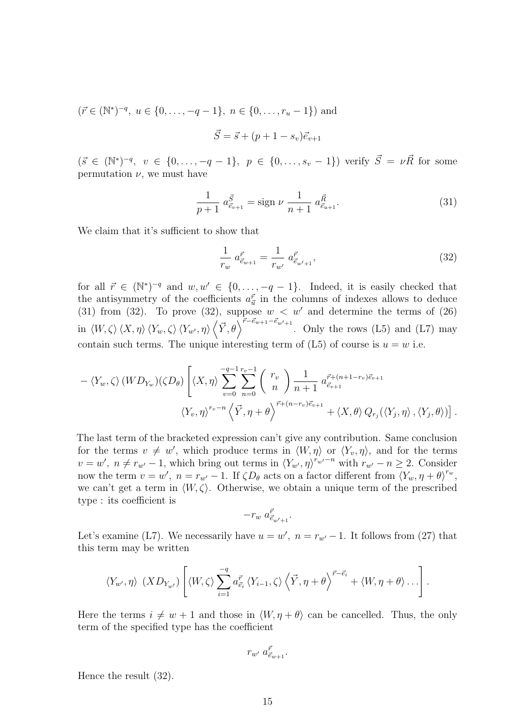$$
(\vec{r} \in (\mathbb{N}^*)^{-q}, u \in \{0, ..., -q-1\}, n \in \{0, ..., r_u - 1\})
$$
 and  

$$
\vec{S} = \vec{s} + (p + 1 - s_v)\vec{e}_{v+1}
$$

 $(\vec{s} \in (\mathbb{N}^*)^{-q}, v \in \{0, \ldots, -q-1\}, p \in \{0, \ldots, s_v-1\})$  verify  $\vec{S} = \nu \vec{R}$  for some permutation  $\nu$ , we must have

$$
\frac{1}{p+1} a_{\vec{e}_{v+1}}^{\vec{S}} = \text{sign } \nu \frac{1}{n+1} a_{\vec{e}_{u+1}}^{\vec{R}}.
$$
 (31)

We claim that it's sufficient to show that

$$
\frac{1}{r_w} a_{\vec{e}_{w+1}}^{\vec{r}} = \frac{1}{r_{w'}} a_{\vec{e}_{w'+1}}^{\vec{r}},\tag{32}
$$

for all  $\vec{r} \in (\mathbb{N}^*)^{-q}$  and  $w, w' \in \{0, \ldots, -q-1\}$ . Indeed, it is easily checked that the antisymmetry of the coefficients  $a_{\vec{u}}^{\vec{r}}$  in the columns of indexes allows to deduce (31) from (32). To prove (32), suppose  $w < w'$  and determine the terms of (26) in  $\langle W, \zeta \rangle \langle X, \eta \rangle \langle Y_w, \zeta \rangle \langle Y_{w'}, \eta \rangle$  $\frac{1}{2}$  $\overrightarrow{Y}, \theta$ ,  $\overrightarrow{Y} \cdot \overrightarrow{P}^{-\overrightarrow{e}_{w+1}-\overrightarrow{e}_{w'+1}}$ . Only the rows (L5) and (L7) may contain such terms. The unique interesting term of  $(L5)$  of course is  $u = w$  i.e.

$$
- \langle Y_w, \zeta \rangle (WD_{Y_w})(\zeta D_{\theta}) \left[ \langle X, \eta \rangle \sum_{v=0}^{-q-1} \sum_{n=0}^{r_v-1} {r_v \choose n} \frac{1}{n+1} a^{\vec{r}+(n+1-r_v)\vec{e}_{v+1}}_{\vec{e}_{v+1}} \right. \newline \langle Y_v, \eta \rangle^{r_v-n} \left\langle \vec{Y}, \eta + \theta \right\rangle^{\vec{r}+(n-r_v)\vec{e}_{v+1}} + \langle X, \theta \rangle Q_{r_j}(\langle Y_j, \eta \rangle, \langle Y_j, \theta \rangle) \right].
$$

The last term of the bracketed expression can't give any contribution. Same conclusion for the terms  $v \neq w'$ , which produce terms in  $\langle W, \eta \rangle$  or  $\langle Y_v, \eta \rangle$ , and for the terms  $v = w'$ ,  $n \neq r_{w'} - 1$ , which bring out terms in  $\langle Y_{w'}, \eta \rangle^{r_{w'} - n}$  with  $r_{w'} - n \geq 2$ . Consider now the term  $v = w'$ ,  $n = r_{w'} - 1$ . If  $\zeta D_{\theta}$  acts on a factor different from  $\langle Y_w, \eta + \theta \rangle^{r_w}$ , we can't get a term in  $\langle W, \zeta \rangle$ . Otherwise, we obtain a unique term of the prescribed type : its coefficient is

$$
-r_w\;a^{\vec{r}}_{\vec{e}_{w'+1}}.
$$

Let's examine (L7). We necessarily have  $u = w'$ ,  $n = r_{w'} - 1$ . It follows from (27) that this term may be written

$$
\langle Y_{w'}, \eta \rangle \, \left( X D_{Y_{w'}} \right) \left[ \langle W, \zeta \rangle \sum_{i=1}^{-q} a_{\vec{e}_i}^{\vec{r}} \, \langle Y_{i-1}, \zeta \rangle \, \langle \vec{Y}, \eta + \theta \rangle^{\vec{r} - \vec{e}_i} + \langle W, \eta + \theta \rangle \dots \right].
$$

Here the terms  $i \neq w + 1$  and those in  $\langle W, \eta + \theta \rangle$  can be cancelled. Thus, the only term of the specified type has the coefficient

$$
r_{w'}~a^{\vec{r}}_{\vec{e}_{w+1}}.
$$

Hence the result (32).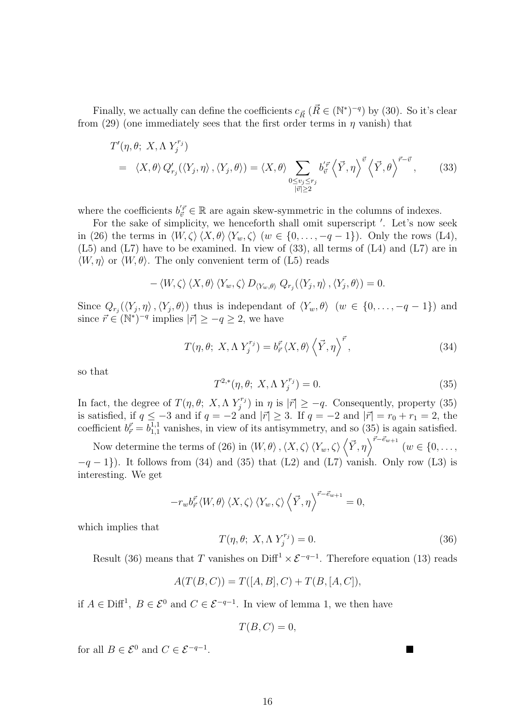Finally, we actually can define the coefficients  $c_{\vec{R}}~(\vec{R} \in (\mathbb{N}^*)^{-q})$  by (30). So it's clear from (29) (one immediately sees that the first order terms in  $\eta$  vanish) that

$$
T'(\eta, \theta; X, \Lambda Y_j^{r_j})
$$
  
=  $\langle X, \theta \rangle Q'_{r_j}(\langle Y_j, \eta \rangle, \langle Y_j, \theta \rangle) = \langle X, \theta \rangle \sum_{\substack{0 \le v_j \le r_j \\ |\vec{v}| \ge 2}} b'^{\vec{r}}_{\vec{v}} \left\langle \vec{Y}, \eta \right\rangle^{\vec{v}} \left\langle \vec{Y}, \theta \right\rangle^{\vec{r} - \vec{v}},$  (33)

where the coefficients  $b_{\vec{v}}^{'\vec{r}} \in \mathbb{R}$  are again skew-symmetric in the columns of indexes.

For the sake of simplicity, we henceforth shall omit superscript '. Let's now seek in (26) the terms in  $\langle W, \zeta \rangle \langle X, \theta \rangle \langle Y_w, \zeta \rangle$  (w  $\in \{0, \ldots, -q-1\}$ ). Only the rows (L4), (L5) and (L7) have to be examined. In view of (33), all terms of (L4) and (L7) are in  $\langle W, \eta \rangle$  or  $\langle W, \theta \rangle$ . The only convenient term of (L5) reads

$$
-\langle W,\zeta\rangle\langle X,\theta\rangle\langle Y_w,\zeta\rangle D_{\langle Y_w,\theta\rangle} Q_{r_j}(\langle Y_j,\eta\rangle,\langle Y_j,\theta\rangle) = 0.
$$

Since  $Q_{r_j}(\langle Y_j,\eta\rangle,\langle Y_j,\theta\rangle)$  thus is independant of  $\langle Y_w,\theta\rangle$   $(w \in \{0,\ldots,-q-1\})$  and since  $\vec{r} \in (\mathbb{N}^*)^{-q}$  implies  $|\vec{r}| \ge -q \ge 2$ , we have

$$
T(\eta, \theta; X, \Lambda Y_j^{r_j}) = b_{\vec{r}}^{\vec{r}} \langle X, \theta \rangle \left\langle \vec{Y}, \eta \right\rangle^{\vec{r}}, \tag{34}
$$

so that

$$
T^{2,*}(\eta, \theta; X, \Lambda Y_j^{r_j}) = 0.
$$
 (35)

In fact, the degree of  $T(\eta, \theta; X, \Lambda Y_i^{r_i})$  $\sum_{j=1}^{r_j}$  in  $\eta$  is  $|\vec{r}| \geq -q$ . Consequently, property (35) is satisfied, if  $q \leq -3$  and if  $q = -2$  and  $|\vec{r}| \geq 3$ . If  $q = -2$  and  $|\vec{r}| = r_0 + r_1 = 2$ , the coefficient  $b_{\vec{r}}^{\vec{r}} = b_{1,1}^{1,1}$  vanishes, in view of its antisymmetry, and so (35) is again satisfied.  $\sum_{\nu}$  $\vec{r}-\vec{e}_{w+1}$ 

Now determine the terms of (26) in  $\langle W,\theta\rangle$  ,  $\langle X,\zeta\rangle \langle Y_w,\zeta\rangle \langle \vec{Y},\eta\rangle$  $(w \in \{0,\ldots,$  $-q-1$ ). It follows from (34) and (35) that (L2) and (L7) vanish. Only row (L3) is interesting. We get

$$
-r_w b_{\vec{r}}^{\vec{r}} \langle W, \theta \rangle \langle X, \zeta \rangle \langle Y_w, \zeta \rangle \langle \vec{Y}, \eta \rangle^{\vec{r} - \vec{e}_{w+1}} = 0,
$$

which implies that

$$
T(\eta, \theta; X, \Lambda Y_j^{r_j}) = 0.
$$
\n(36)

Result (36) means that T vanishes on Diff<sup>1</sup>  $\times \mathcal{E}^{-q-1}$ . Therefore equation (13) reads

$$
A(T(B, C)) = T([A, B], C) + T(B, [A, C]),
$$

if  $A \in \text{Diff}^1$ ,  $B \in \mathcal{E}^0$  and  $C \in \mathcal{E}^{-q-1}$ . In view of lemma 1, we then have

$$
T(B,C) = 0,
$$

for all  $B \in \mathcal{E}^0$  and  $C \in \mathcal{E}^{-q-1}$ . . ¥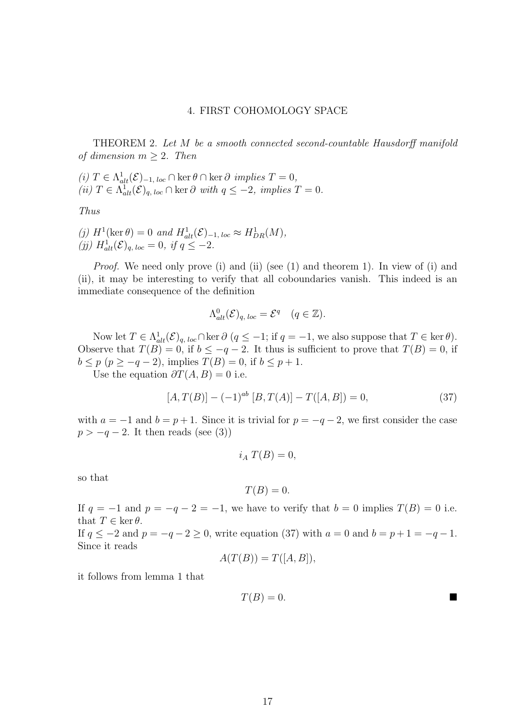#### 4. FIRST COHOMOLOGY SPACE

THEOREM 2. Let M be a smooth connected second-countable Hausdorff manifold of dimension  $m > 2$ . Then

(i)  $T \in \Lambda_{alt}^1(\mathcal{E})_{-1, loc} \cap \text{ker } \theta \cap \text{ker } \partial \text{ implies } T = 0,$ (ii)  $T \in \Lambda^1_{alt}(\mathcal{E})_{q, loc} \cap \text{ker } \partial \text{ with } q \leq -2, \text{ implies } T = 0.$ 

Thus

(j)  $H^1(\ker \theta) = 0$  and  $H^1_{alt}(\mathcal{E})_{-1, loc} \approx H^1_{DR}(M)$ , (ij)  $H^1_{alt}(\mathcal{E})_{q, loc} = 0$ , if  $q \le -2$ .

Proof. We need only prove (i) and (ii) (see (1) and theorem 1). In view of (i) and (ii), it may be interesting to verify that all coboundaries vanish. This indeed is an immediate consequence of the definition

$$
\Lambda^0_{alt}(\mathcal{E})_{q, loc} = \mathcal{E}^q \quad (q \in \mathbb{Z}).
$$

Now let  $T \in \Lambda^1_{alt}(\mathcal{E})_{q, loc} \cap \text{ker } \partial (q \leq -1; \text{ if } q = -1, \text{ we also suppose that } T \in \text{ker } \theta).$ Observe that  $T(B) = 0$ , if  $b \le -q - 2$ . It thus is sufficient to prove that  $T(B) = 0$ , if  $b \leq p \ (p \geq -q-2)$ , implies  $T(B) = 0$ , if  $b \leq p+1$ .

Use the equation  $\partial T(A, B) = 0$  i.e.

$$
[A, T(B)] - (-1)^{ab} [B, T(A)] - T([A, B]) = 0,
$$
\n(37)

with  $a = -1$  and  $b = p + 1$ . Since it is trivial for  $p = -q - 2$ , we first consider the case  $p > -q - 2$ . It then reads (see (3))

$$
i_A T(B) = 0,
$$

so that

$$
T(B) = 0.
$$

If  $q = -1$  and  $p = -q - 2 = -1$ , we have to verify that  $b = 0$  implies  $T(B) = 0$  i.e. that  $T \in \ker \theta$ .

If  $q \leq -2$  and  $p = -q - 2 \geq 0$ , write equation (37) with  $a = 0$  and  $b = p + 1 = -q - 1$ . Since it reads

$$
A(T(B)) = T([A, B]),
$$

it follows from lemma 1 that

$$
T(B) = 0.
$$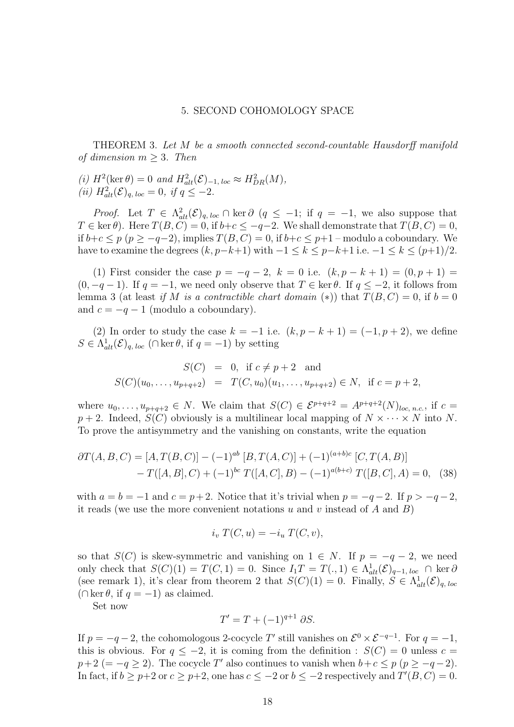#### 5. SECOND COHOMOLOGY SPACE

THEOREM 3. Let M be a smooth connected second-countable Hausdorff manifold of dimension  $m > 3$ . Then

(i)  $H^2(\ker \theta) = 0$  and  $H^2_{alt}(\mathcal{E})_{-1, loc} \approx H^2_{DR}(M)$ , (*ii*)  $H_{alt}^2(\mathcal{E})_{q, loc} = 0$ , *if*  $q \le -2$ .

*Proof.* Let  $T \in \Lambda_{alt}^2(\mathcal{E})_{q, loc} \cap \text{ker } \partial (q \leq -1; \text{ if } q = -1, \text{ we also suppose that }$  $T \in \text{ker } \theta$ . Here  $T(B, C) = 0$ , if  $b+c \le -q-2$ . We shall demonstrate that  $T(B, C) = 0$ , if  $b+c \leq p$  ( $p \geq -q-2$ ), implies  $T(B, C) = 0$ , if  $b+c \leq p+1$  – modulo a coboundary. We have to examine the degrees  $(k, p-k+1)$  with  $-1 \le k \le p-k+1$  i.e.  $-1 \le k \le (p+1)/2$ .

(1) First consider the case  $p = -q - 2$ ,  $k = 0$  i.e.  $(k, p - k + 1) = (0, p + 1) =$  $(0, -q - 1)$ . If  $q = -1$ , we need only observe that  $T \in \text{ker }\theta$ . If  $q \leq -2$ , it follows from lemma 3 (at least if M is a contractible chart domain (\*)) that  $T(B, C) = 0$ , if  $b = 0$ and  $c = -q - 1$  (modulo a coboundary).

(2) In order to study the case  $k = -1$  i.e.  $(k, p - k + 1) = (-1, p + 2)$ , we define  $S \in \Lambda_{alt}^1(\mathcal{E})_{q, loc}$  ( $\cap$  ker  $\theta$ , if  $q = -1$ ) by setting

$$
S(C) = 0, \text{ if } c \neq p+2 \text{ and}
$$
  

$$
S(C)(u_0, \dots, u_{p+q+2}) = T(C, u_0)(u_1, \dots, u_{p+q+2}) \in N, \text{ if } c = p+2,
$$

where  $u_0, \ldots, u_{p+q+2} \in N$ . We claim that  $S(C) \in \mathcal{E}^{p+q+2} = A^{p+q+2}(N)_{loc, n.c.}$ , if  $c =$  $p + 2$ . Indeed,  $S(C)$  obviously is a multilinear local mapping of  $N \times \cdots \times N$  into N. To prove the antisymmetry and the vanishing on constants, write the equation

$$
\partial T(A, B, C) = [A, T(B, C)] - (-1)^{ab} [B, T(A, C)] + (-1)^{(a+b)c} [C, T(A, B)]
$$
  
- 
$$
T([A, B], C) + (-1)^{bc} T([A, C], B) - (-1)^{a(b+c)} T([B, C], A) = 0, (38)
$$

with  $a = b = -1$  and  $c = p+2$ . Notice that it's trivial when  $p = -q-2$ . If  $p > -q-2$ , it reads (we use the more convenient notations  $u$  and  $v$  instead of  $A$  and  $B$ )

$$
i_v T(C, u) = -i_u T(C, v),
$$

so that  $S(C)$  is skew-symmetric and vanishing on  $1 \in N$ . If  $p = -q - 2$ , we need only check that  $S(C)(1) = T(C, 1) = 0$ . Since  $I_1T = T(., 1) \in \Lambda^1_{alt}(\mathcal{E})_{q-1, loc} \cap \text{ker } \partial$ (see remark 1), it's clear from theorem 2 that  $S(C)(1) = 0$ . Finally,  $S \in \Lambda^1_{alt}(\mathcal{E})_{q, loc}$  $(\cap \ker \theta, \text{ if } q = -1)$  as claimed.

Set now

$$
T' = T + (-1)^{q+1} \partial S.
$$

If  $p = -q-2$ , the cohomologous 2-cocycle T' still vanishes on  $\mathcal{E}^0 \times \mathcal{E}^{-q-1}$ . For  $q = -1$ , this is obvious. For  $q \leq -2$ , it is coming from the definition :  $S(C) = 0$  unless  $c =$  $p+2 (= -q \ge 2)$ . The cocycle T' also continues to vanish when  $b+c \le p$  ( $p \ge -q-2$ ). In fact, if  $b \ge p+2$  or  $c \ge p+2$ , one has  $c \le -2$  or  $b \le -2$  respectively and  $T'(B, C) = 0$ .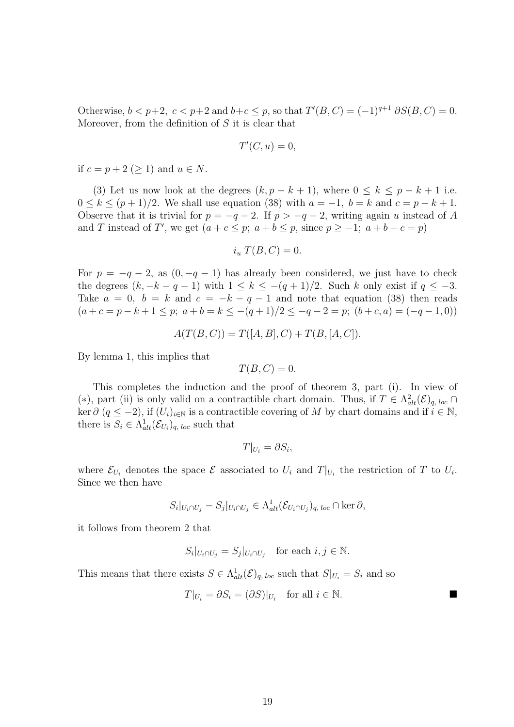Otherwise,  $b < p+2$ ,  $c < p+2$  and  $b+c \leq p$ , so that  $T'(B, C) = (-1)^{q+1} \partial S(B, C) = 0$ . Moreover, from the definition of  $S$  it is clear that

$$
T'(C, u) = 0,
$$

if  $c = p + 2$  (> 1) and  $u \in N$ .

(3) Let us now look at the degrees  $(k, p - k + 1)$ , where  $0 \le k \le p - k + 1$  i.e.  $0 \leq k \leq (p+1)/2$ . We shall use equation (38) with  $a = -1$ ,  $b = k$  and  $c = p - k + 1$ . Observe that it is trivial for  $p = -q - 2$ . If  $p > -q - 2$ , writing again u instead of A and T instead of T', we get  $(a + c \le p; a + b \le p$ , since  $p \ge -1; a + b + c = p$ 

$$
i_u T(B, C) = 0.
$$

For  $p = -q - 2$ , as  $(0, -q - 1)$  has already been considered, we just have to check the degrees  $(k, -k - q - 1)$  with  $1 \leq k \leq -(q + 1)/2$ . Such k only exist if  $q \leq -3$ . Take  $a = 0$ ,  $b = k$  and  $c = -k - q - 1$  and note that equation (38) then reads  $(a + c = p - k + 1 \le p; a + b = k \le -(q + 1)/2 \le -q - 2 = p; (b + c, a) = (-q - 1, 0))$ 

 $A(T(B, C)) = T([A, B], C) + T(B, [A, C]).$ 

By lemma 1, this implies that

$$
T(B,C) = 0.
$$

This completes the induction and the proof of theorem 3, part (i). In view of (\*), part (ii) is only valid on a contractible chart domain. Thus, if  $T \in \Lambda^2_{alt}(\mathcal{E})_{q, loc}$ ker  $\partial$  (q  $\leq$  -2), if  $(U_i)_{i\in\mathbb{N}}$  is a contractible covering of M by chart domains and if  $i \in \mathbb{N}$ , there is  $S_i \in \Lambda_{alt}^1(\mathcal{E}_{U_i})_{q, loc}$  such that

$$
T|_{U_i} = \partial S_i,
$$

where  $\mathcal{E}_{U_i}$  denotes the space  $\mathcal E$  associated to  $U_i$  and  $T|_{U_i}$  the restriction of T to  $U_i$ . Since we then have

$$
S_i|_{U_i \cap U_j} - S_j|_{U_i \cap U_j} \in \Lambda^1_{alt}(\mathcal{E}_{U_i \cap U_j})_{q, loc} \cap \ker \partial,
$$

it follows from theorem 2 that

$$
S_i|_{U_i \cap U_j} = S_j|_{U_i \cap U_j} \quad \text{for each } i, j \in \mathbb{N}.
$$

This means that there exists  $S \in \Lambda_{alt}^1(\mathcal{E})_{q, loc}$  such that  $S|_{U_i} = S_i$  and so

$$
T|_{U_i} = \partial S_i = (\partial S)|_{U_i} \quad \text{for all } i \in \mathbb{N}.
$$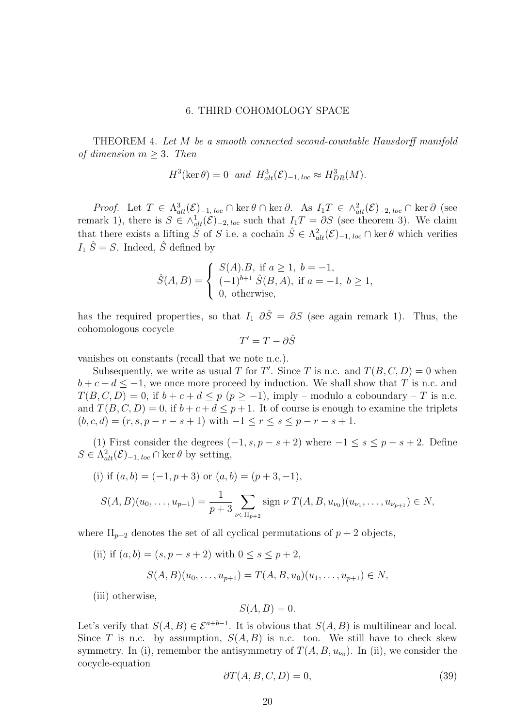#### 6. THIRD COHOMOLOGY SPACE

THEOREM 4. Let M be a smooth connected second-countable Hausdorff manifold of dimension  $m \geq 3$ . Then

$$
H^3(\ker \theta) = 0 \quad and \quad H^3_{alt}(\mathcal{E})_{-1, loc} \approx H^3_{DR}(M).
$$

*Proof.* Let  $T \in \Lambda_{alt}^3(\mathcal{E})_{-1, loc} \cap \ker \theta \cap \ker \partial$ . As  $I_1T \in \Lambda_{alt}^2(\mathcal{E})_{-2, loc} \cap \ker \partial$  (see remark 1), there is  $S \in \wedge^1_{alt}(\mathcal{E})_{-2, loc}$  such that  $I_1T = \partial S$  (see theorem 3). We claim that there exists a lifting  $\tilde{S}$  of S i.e. a cochain  $\hat{S} \in \Lambda^2_{alt}(\mathcal{E})_{-1, loc} \cap \text{ker } \theta$  which verifies  $I_1 \hat{S} = S$ . Indeed,  $\hat{S}$  defined by

$$
\hat{S}(A,B) = \begin{cases} S(A).B, \text{ if } a \ge 1, \ b = -1, \\ (-1)^{b+1} \hat{S}(B,A), \text{ if } a = -1, \ b \ge 1, \\ 0, \text{ otherwise,} \end{cases}
$$

has the required properties, so that  $I_1$   $\partial \hat{S} = \partial S$  (see again remark 1). Thus, the cohomologous cocycle

$$
T'=T-\partial \hat{S}
$$

vanishes on constants (recall that we note n.c.).

Subsequently, we write as usual T for T'. Since T is n.c. and  $T(B, C, D) = 0$  when  $b + c + d \le -1$ , we once more proceed by induction. We shall show that T is n.c. and  $T(B, C, D) = 0$ , if  $b + c + d \leq p \ (p \geq -1)$ , imply – modulo a coboundary – T is n.c. and  $T(B, C, D) = 0$ , if  $b + c + d \leq p + 1$ . It of course is enough to examine the triplets  $(b, c, d) = (r, s, p - r - s + 1)$  with  $-1 \le r \le s \le p - r - s + 1$ .

(1) First consider the degrees  $(-1, s, p - s + 2)$  where  $-1 \le s \le p - s + 2$ . Define  $S \in \Lambda^2_{alt}(\mathcal{E})_{-1, loc} \cap \text{ker } \theta$  by setting,

(i) if 
$$
(a, b) = (-1, p + 3)
$$
 or  $(a, b) = (p + 3, -1)$ ,  
\n
$$
S(A, B)(u_0, \dots, u_{p+1}) = \frac{1}{p+3} \sum_{\nu \in \Pi_{p+2}} \text{sign } \nu \ T(A, B, u_{\nu_0})(u_{\nu_1}, \dots, u_{\nu_{p+1}}) \in N,
$$

where  $\Pi_{p+2}$  denotes the set of all cyclical permutations of  $p+2$  objects,

(ii) if  $(a, b) = (s, p - s + 2)$  with  $0 \le s \le p + 2$ ,  $S(A, B)(u_0, \ldots, u_{p+1}) = T(A, B, u_0)(u_1, \ldots, u_{p+1}) \in N$ 

(iii) otherwise,

$$
S(A, B) = 0.
$$

Let's verify that  $S(A, B) \in \mathcal{E}^{a+b-1}$ . It is obvious that  $S(A, B)$  is multilinear and local. Since T is n.c. by assumption,  $S(A, B)$  is n.c. too. We still have to check skew symmetry. In (i), remember the antisymmetry of  $T(A, B, u_{\nu_0})$ . In (ii), we consider the cocycle-equation

$$
\partial T(A, B, C, D) = 0,\t\t(39)
$$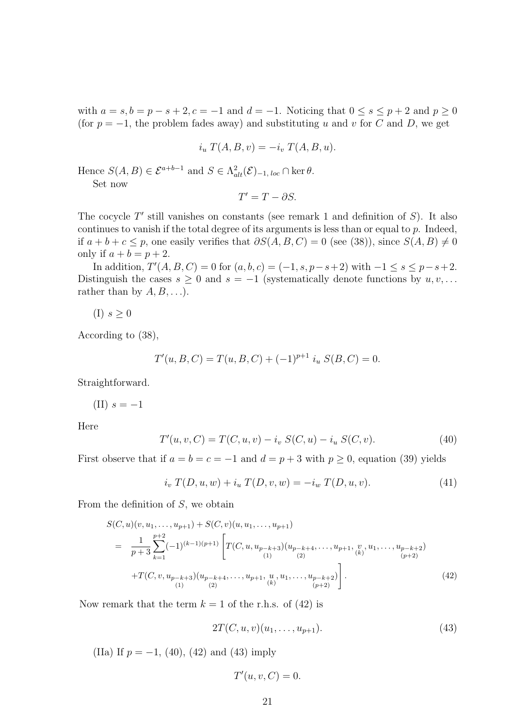with  $a = s, b = p - s + 2, c = -1$  and  $d = -1$ . Noticing that  $0 \le s \le p + 2$  and  $p \ge 0$ (for  $p = -1$ , the problem fades away) and substituting u and v for C and D, we get

$$
i_u T(A, B, v) = -i_v T(A, B, u).
$$

Hence  $S(A, B) \in \mathcal{E}^{a+b-1}$  and  $S \in \Lambda^2_{alt}(\mathcal{E})_{-1, loc} \cap \text{ker } \theta$ .

Set now

$$
T'=T-\partial S.
$$

The cocycle  $T'$  still vanishes on constants (see remark 1 and definition of  $S$ ). It also continues to vanish if the total degree of its arguments is less than or equal to  $p$ . Indeed, if  $a + b + c \leq p$ , one easily verifies that  $\partial S(A, B, C) = 0$  (see (38)), since  $S(A, B) \neq 0$ only if  $a + b = p + 2$ .

In addition,  $T'(A, B, C) = 0$  for  $(a, b, c) = (-1, s, p - s + 2)$  with  $-1 \le s \le p - s + 2$ . Distinguish the cases  $s \geq 0$  and  $s = -1$  (systematically denote functions by  $u, v, \ldots$ rather than by  $A, B, \ldots$ ).

$$
(I) s \geq 0
$$

According to (38),

$$
T'(u, B, C) = T(u, B, C) + (-1)^{p+1} i_u S(B, C) = 0.
$$

Straightforward.

(II) 
$$
s = -1
$$

Here

$$
T'(u, v, C) = T(C, u, v) - i_v S(C, u) - i_u S(C, v).
$$
 (40)

First observe that if  $a = b = c = -1$  and  $d = p + 3$  with  $p \ge 0$ , equation (39) yields

$$
i_v T(D, u, w) + i_u T(D, v, w) = -i_w T(D, u, v).
$$
 (41)

From the definition of  $S$ , we obtain

$$
S(C, u)(v, u_1, \dots, u_{p+1}) + S(C, v)(u, u_1, \dots, u_{p+1})
$$
  
= 
$$
\frac{1}{p+3} \sum_{k=1}^{p+2} (-1)^{(k-1)(p+1)} \left[ T(C, u, u_{p-k+3})(u_{p-k+4}, \dots, u_{p+1}, \underset{(k)}{v}, u_1, \dots, u_{p-k+2}) \right]
$$
  
+
$$
T(C, v, u_{p-k+3})(u_{p-k+4}, \dots, u_{p+1}, \underset{(k)}{u}, u_1, \dots, u_{p-k+2}) \right].
$$
 (42)

Now remark that the term  $k = 1$  of the r.h.s. of (42) is

$$
2T(C, u, v)(u_1, \dots, u_{p+1}).
$$
\n(43)

(IIa) If  $p = -1$ , (40), (42) and (43) imply

$$
T'(u, v, C) = 0.
$$